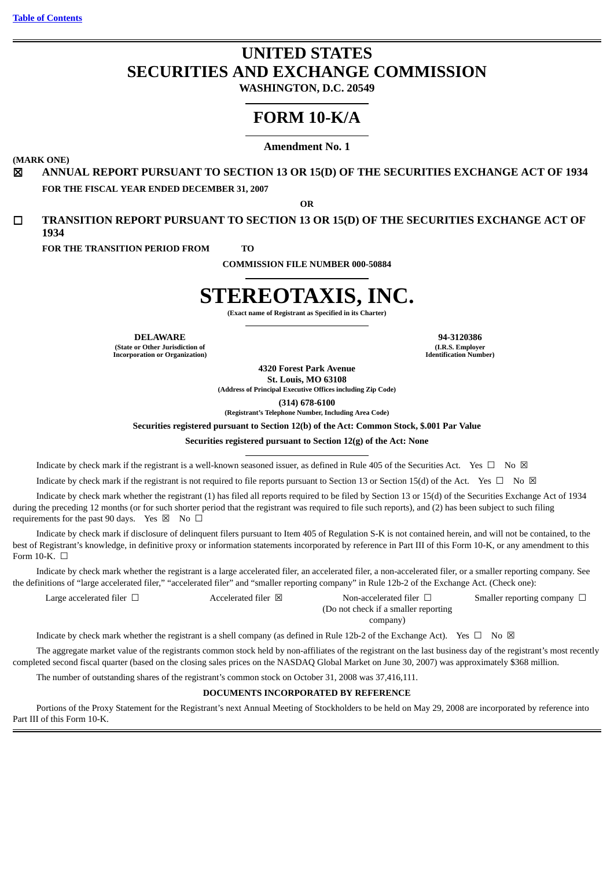# **UNITED STATES SECURITIES AND EXCHANGE COMMISSION**

**WASHINGTON, D.C. 20549**

# **FORM 10-K/A**

### **Amendment No. 1**

**(MARK ONE)**

☒ **ANNUAL REPORT PURSUANT TO SECTION 13 OR 15(D) OF THE SECURITIES EXCHANGE ACT OF 1934 FOR THE FISCAL YEAR ENDED DECEMBER 31, 2007**

**OR**

☐ **TRANSITION REPORT PURSUANT TO SECTION 13 OR 15(D) OF THE SECURITIES EXCHANGE ACT OF 1934**

**FOR THE TRANSITION PERIOD FROM TO** 

**COMMISSION FILE NUMBER 000-50884**

# **STEREOTAXIS, INC.**

**(Exact name of Registrant as Specified in its Charter)**

**(State or Other Jurisdiction of Incorporation or Organization)**

**4320 Forest Park Avenue**

**St. Louis, MO 63108 (Address of Principal Executive Offices including Zip Code)**

**(314) 678-6100**

**(Registrant's Telephone Number, Including Area Code)**

**Securities registered pursuant to Section 12(b) of the Act: Common Stock, \$.001 Par Value**

**Securities registered pursuant to Section 12(g) of the Act: None**

Indicate by check mark if the registrant is a well-known seasoned issuer, as defined in Rule 405 of the Securities Act. Yes  $\Box$  No  $\boxtimes$ 

Indicate by check mark if the registrant is not required to file reports pursuant to Section 13 or Section 15(d) of the Act. Yes  $\Box$  No  $\boxtimes$ 

Indicate by check mark whether the registrant (1) has filed all reports required to be filed by Section 13 or 15(d) of the Securities Exchange Act of 1934 during the preceding 12 months (or for such shorter period that the registrant was required to file such reports), and (2) has been subject to such filing requirements for the past 90 days. Yes  $\boxtimes$  No  $\Box$ 

Indicate by check mark if disclosure of delinquent filers pursuant to Item 405 of Regulation S-K is not contained herein, and will not be contained, to the best of Registrant's knowledge, in definitive proxy or information statements incorporated by reference in Part III of this Form 10-K, or any amendment to this Form 10-K.  $\Box$ 

Indicate by check mark whether the registrant is a large accelerated filer, an accelerated filer, a non-accelerated filer, or a smaller reporting company. See the definitions of "large accelerated filer," "accelerated filer" and "smaller reporting company" in Rule 12b-2 of the Exchange Act. (Check one):

Large accelerated filer □ Accelerated filer ⊠ Non-accelerated filer □ Smaller reporting company □ (Do not check if a smaller reporting company)

Indicate by check mark whether the registrant is a shell company (as defined in Rule 12b-2 of the Exchange Act). Yes  $\Box$  No  $\boxtimes$ 

The aggregate market value of the registrants common stock held by non-affiliates of the registrant on the last business day of the registrant's most recently completed second fiscal quarter (based on the closing sales prices on the NASDAQ Global Market on June 30, 2007) was approximately \$368 million.

The number of outstanding shares of the registrant's common stock on October 31, 2008 was 37,416,111.

### **DOCUMENTS INCORPORATED BY REFERENCE**

Portions of the Proxy Statement for the Registrant's next Annual Meeting of Stockholders to be held on May 29, 2008 are incorporated by reference into Part III of this Form 10-K.

**(I.R.S. Employer Identification Number)**

**DELAWARE 94-3120386**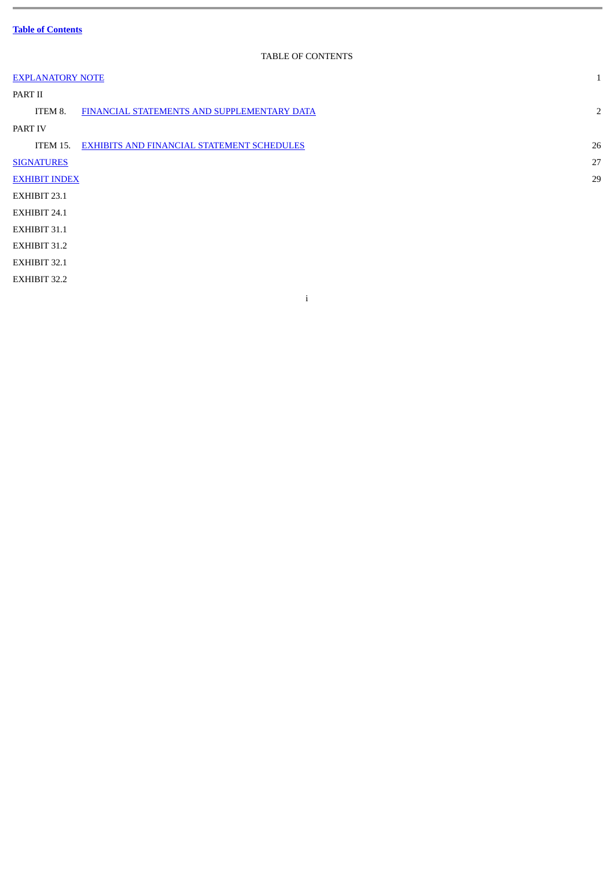$\overline{a}$ 

# TABLE OF CONTENTS

<span id="page-1-0"></span>

| <b>EXPLANATORY NOTE</b>                                              | $\mathbf{1}$ |
|----------------------------------------------------------------------|--------------|
| PART II                                                              |              |
| ITEM 8.<br>FINANCIAL STATEMENTS AND SUPPLEMENTARY DATA               | 2            |
| PART IV                                                              |              |
| <b>EXHIBITS AND FINANCIAL STATEMENT SCHEDULES</b><br><b>ITEM 15.</b> | 26           |
| <b>SIGNATURES</b>                                                    | 27           |
| <b>EXHIBIT INDEX</b>                                                 | 29           |
| EXHIBIT 23.1                                                         |              |
| <b>EXHIBIT 24.1</b>                                                  |              |
| EXHIBIT 31.1                                                         |              |
| EXHIBIT 31.2                                                         |              |
| <b>EXHIBIT 32.1</b>                                                  |              |

EXHIBIT 32.2

i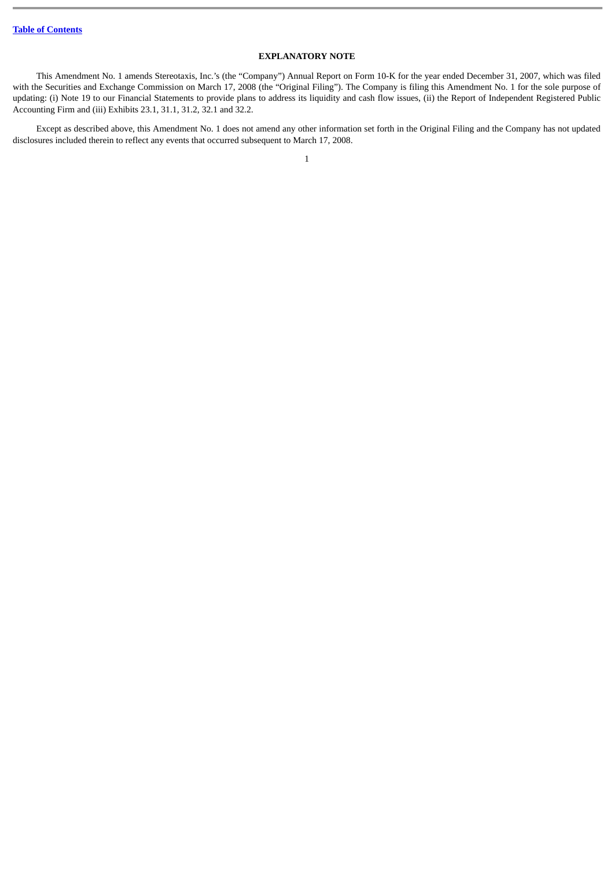### **EXPLANATORY NOTE**

<span id="page-2-0"></span>This Amendment No. 1 amends Stereotaxis, Inc.'s (the "Company") Annual Report on Form 10-K for the year ended December 31, 2007, which was filed with the Securities and Exchange Commission on March 17, 2008 (the "Original Filing"). The Company is filing this Amendment No. 1 for the sole purpose of updating: (i) Note 19 to our Financial Statements to provide plans to address its liquidity and cash flow issues, (ii) the Report of Independent Registered Public Accounting Firm and (iii) Exhibits 23.1, 31.1, 31.2, 32.1 and 32.2.

Except as described above, this Amendment No. 1 does not amend any other information set forth in the Original Filing and the Company has not updated disclosures included therein to reflect any events that occurred subsequent to March 17, 2008.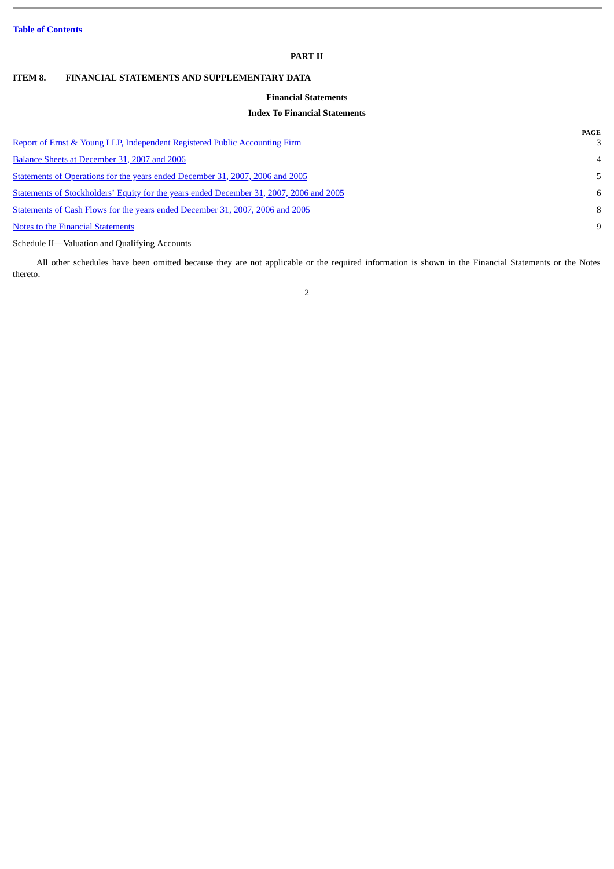# **PART II**

# <span id="page-3-0"></span>**ITEM 8. FINANCIAL STATEMENTS AND SUPPLEMENTARY DATA**

### **Financial Statements**

### **Index To Financial Statements**

| Report of Ernst & Young LLP, Independent Registered Public Accounting Firm              | PAGE<br>$\overline{\mathbf{3}}$ |
|-----------------------------------------------------------------------------------------|---------------------------------|
| Balance Sheets at December 31, 2007 and 2006                                            | $\overline{4}$                  |
| <u>Statements of Operations for the years ended December 31, 2007, 2006 and 2005</u>    | 5                               |
| Statements of Stockholders' Equity for the years ended December 31, 2007, 2006 and 2005 | 6                               |
| Statements of Cash Flows for the years ended December 31, 2007, 2006 and 2005           | 8                               |
| Notes to the Financial Statements                                                       | 9                               |
|                                                                                         |                                 |

Schedule II—Valuation and Qualifying Accounts

All other schedules have been omitted because they are not applicable or the required information is shown in the Financial Statements or the Notes thereto.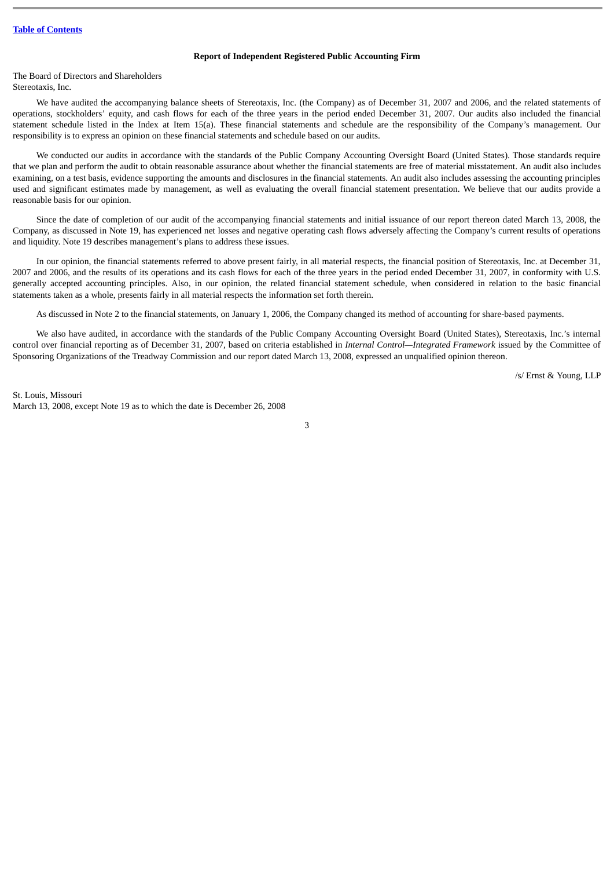#### **Report of Independent Registered Public Accounting Firm**

<span id="page-4-0"></span>The Board of Directors and Shareholders Stereotaxis, Inc.

We have audited the accompanying balance sheets of Stereotaxis, Inc. (the Company) as of December 31, 2007 and 2006, and the related statements of operations, stockholders' equity, and cash flows for each of the three years in the period ended December 31, 2007. Our audits also included the financial statement schedule listed in the Index at Item 15(a). These financial statements and schedule are the responsibility of the Company's management. Our responsibility is to express an opinion on these financial statements and schedule based on our audits.

We conducted our audits in accordance with the standards of the Public Company Accounting Oversight Board (United States). Those standards require that we plan and perform the audit to obtain reasonable assurance about whether the financial statements are free of material misstatement. An audit also includes examining, on a test basis, evidence supporting the amounts and disclosures in the financial statements. An audit also includes assessing the accounting principles used and significant estimates made by management, as well as evaluating the overall financial statement presentation. We believe that our audits provide a reasonable basis for our opinion.

Since the date of completion of our audit of the accompanying financial statements and initial issuance of our report thereon dated March 13, 2008, the Company, as discussed in Note 19, has experienced net losses and negative operating cash flows adversely affecting the Company's current results of operations and liquidity. Note 19 describes management's plans to address these issues.

In our opinion, the financial statements referred to above present fairly, in all material respects, the financial position of Stereotaxis, Inc. at December 31, 2007 and 2006, and the results of its operations and its cash flows for each of the three years in the period ended December 31, 2007, in conformity with U.S. generally accepted accounting principles. Also, in our opinion, the related financial statement schedule, when considered in relation to the basic financial statements taken as a whole, presents fairly in all material respects the information set forth therein.

As discussed in Note 2 to the financial statements, on January 1, 2006, the Company changed its method of accounting for share-based payments.

We also have audited, in accordance with the standards of the Public Company Accounting Oversight Board (United States), Stereotaxis, Inc.'s internal control over financial reporting as of December 31, 2007, based on criteria established in *Internal Control—Integrated Framework* issued by the Committee of Sponsoring Organizations of the Treadway Commission and our report dated March 13, 2008, expressed an unqualified opinion thereon.

/s/ Ernst & Young, LLP

St. Louis, Missouri March 13, 2008, except Note 19 as to which the date is December 26, 2008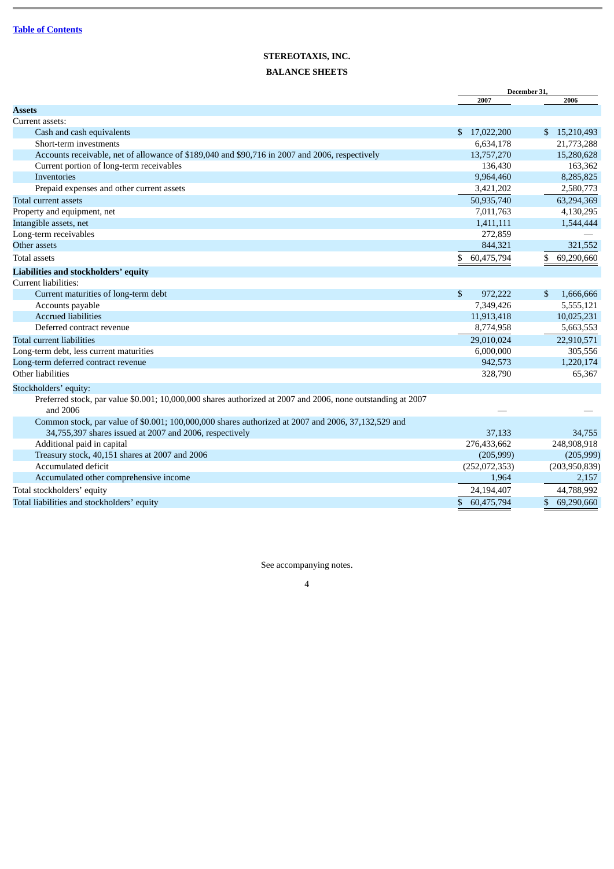# **BALANCE SHEETS**

<span id="page-5-0"></span>

|                                                                                                                         | December 31,   |               |    |               |
|-------------------------------------------------------------------------------------------------------------------------|----------------|---------------|----|---------------|
|                                                                                                                         |                | 2007          |    | 2006          |
| <b>Assets</b>                                                                                                           |                |               |    |               |
| Current assets:                                                                                                         |                |               |    |               |
| Cash and cash equivalents                                                                                               |                | \$17,022,200  |    | \$ 15,210,493 |
| Short-term investments                                                                                                  |                | 6,634,178     |    | 21,773,288    |
| Accounts receivable, net of allowance of \$189,040 and \$90,716 in 2007 and 2006, respectively                          |                | 13,757,270    |    | 15,280,628    |
| Current portion of long-term receivables                                                                                |                | 136,430       |    | 163,362       |
| Inventories                                                                                                             |                | 9,964,460     |    | 8,285,825     |
| Prepaid expenses and other current assets                                                                               |                | 3,421,202     |    | 2,580,773     |
| Total current assets                                                                                                    |                | 50,935,740    |    | 63,294,369    |
| Property and equipment, net                                                                                             |                | 7,011,763     |    | 4,130,295     |
| Intangible assets, net                                                                                                  |                | 1,411,111     |    | 1,544,444     |
| Long-term receivables                                                                                                   |                | 272,859       |    |               |
| Other assets                                                                                                            |                | 844,321       |    | 321,552       |
| <b>Total assets</b>                                                                                                     | \$             | 60,475,794    | \$ | 69,290,660    |
| Liabilities and stockholders' equity                                                                                    |                |               |    |               |
| Current liabilities:                                                                                                    |                |               |    |               |
| Current maturities of long-term debt                                                                                    | $\mathfrak{S}$ | 972,222       | \$ | 1,666,666     |
| Accounts payable                                                                                                        |                | 7,349,426     |    | 5,555,121     |
| <b>Accrued liabilities</b>                                                                                              |                | 11,913,418    |    | 10,025,231    |
| Deferred contract revenue                                                                                               |                | 8,774,958     |    | 5,663,553     |
| Total current liabilities                                                                                               |                | 29,010,024    |    | 22,910,571    |
| Long-term debt, less current maturities                                                                                 |                | 6,000,000     |    | 305,556       |
| Long-term deferred contract revenue                                                                                     |                | 942,573       |    | 1,220,174     |
| Other liabilities                                                                                                       |                | 328,790       |    | 65,367        |
| Stockholders' equity:                                                                                                   |                |               |    |               |
| Preferred stock, par value \$0.001; 10,000,000 shares authorized at 2007 and 2006, none outstanding at 2007<br>and 2006 |                |               |    |               |
| Common stock, par value of \$0.001; 100,000,000 shares authorized at 2007 and 2006, 37,132,529 and                      |                |               |    |               |
| 34,755,397 shares issued at 2007 and 2006, respectively                                                                 |                | 37,133        |    | 34,755        |
| Additional paid in capital                                                                                              |                | 276,433,662   |    | 248,908,918   |
| Treasury stock, 40,151 shares at 2007 and 2006                                                                          |                | (205,999)     |    | (205, 999)    |
| Accumulated deficit                                                                                                     |                | (252,072,353) |    | (203,950,839) |
| Accumulated other comprehensive income                                                                                  |                | 1,964         |    | 2,157         |
| Total stockholders' equity                                                                                              |                | 24,194,407    |    | 44,788,992    |
| Total liabilities and stockholders' equity                                                                              |                | \$ 60,475,794 | \$ | 69,290,660    |

See accompanying notes.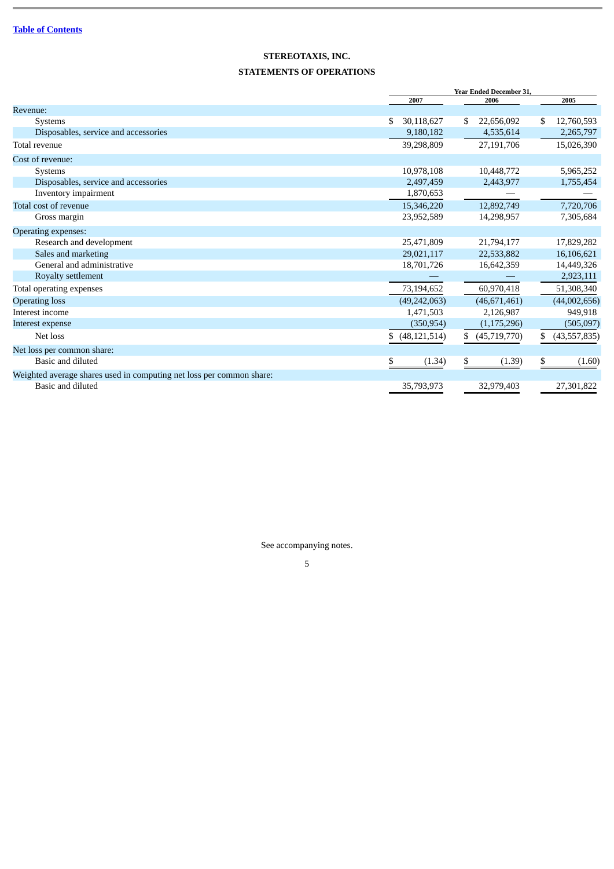# **STATEMENTS OF OPERATIONS**

<span id="page-6-0"></span>

|                                                                      |   |                   | <b>Year Ended December 31,</b> |                    |
|----------------------------------------------------------------------|---|-------------------|--------------------------------|--------------------|
|                                                                      |   | 2007              | 2006                           | 2005               |
| Revenue:                                                             |   |                   |                                |                    |
| Systems                                                              |   | 30,118,627        | \$<br>22,656,092               | \$<br>12,760,593   |
| Disposables, service and accessories                                 |   | 9,180,182         | 4,535,614                      | 2,265,797          |
| Total revenue                                                        |   | 39,298,809        | 27,191,706                     | 15,026,390         |
| Cost of revenue:                                                     |   |                   |                                |                    |
| <b>Systems</b>                                                       |   | 10,978,108        | 10,448,772                     | 5,965,252          |
| Disposables, service and accessories                                 |   | 2,497,459         | 2,443,977                      | 1,755,454          |
| Inventory impairment                                                 |   | 1,870,653         |                                |                    |
| Total cost of revenue                                                |   | 15,346,220        | 12,892,749                     | 7,720,706          |
| Gross margin                                                         |   | 23,952,589        | 14,298,957                     | 7,305,684          |
| <b>Operating expenses:</b>                                           |   |                   |                                |                    |
| Research and development                                             |   | 25,471,809        | 21,794,177                     | 17,829,282         |
| Sales and marketing                                                  |   | 29,021,117        | 22,533,882                     | 16,106,621         |
| General and administrative                                           |   | 18,701,726        | 16,642,359                     | 14,449,326         |
| Royalty settlement                                                   |   |                   |                                | 2,923,111          |
| Total operating expenses                                             |   | 73,194,652        | 60,970,418                     | 51,308,340         |
| <b>Operating loss</b>                                                |   | (49, 242, 063)    | (46,671,461)                   | (44,002,656)       |
| Interest income                                                      |   | 1,471,503         | 2,126,987                      | 949,918            |
| Interest expense                                                     |   | (350, 954)        | (1, 175, 296)                  | (505, 097)         |
| Net loss                                                             |   | \$ (48, 121, 514) | \$<br>(45,719,770)             | \$<br>(43,557,835) |
| Net loss per common share:                                           |   |                   |                                |                    |
| Basic and diluted                                                    | S | (1.34)            | \$<br>(1.39)                   | \$<br>(1.60)       |
| Weighted average shares used in computing net loss per common share: |   |                   |                                |                    |
| Basic and diluted                                                    |   | 35,793,973        | 32,979,403                     | 27,301,822         |

See accompanying notes.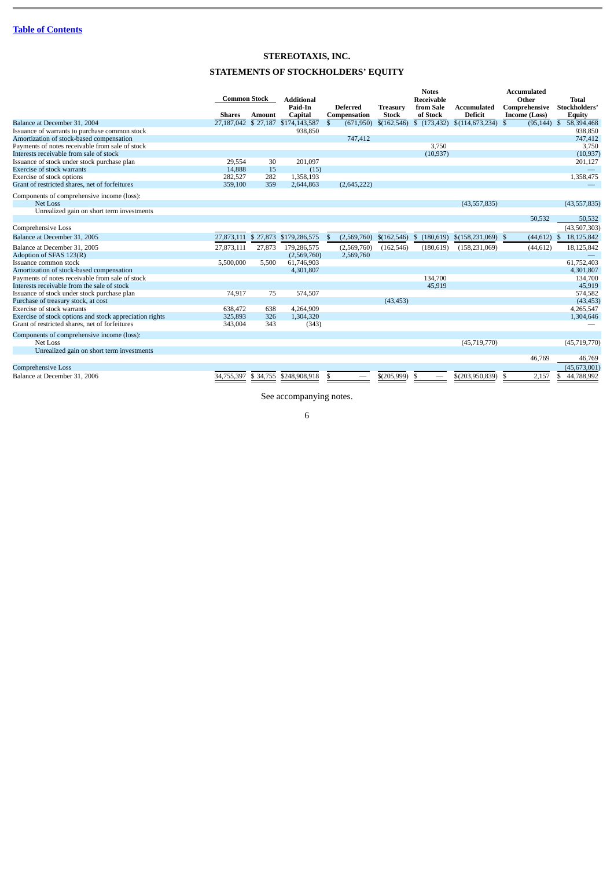# **STATEMENTS OF STOCKHOLDERS' EQUITY**

<span id="page-7-0"></span>

|                                                         |                     |               |                   |              |                 |                 | <b>Notes</b>     |                   |              | <b>Accumulated</b> |                            |
|---------------------------------------------------------|---------------------|---------------|-------------------|--------------|-----------------|-----------------|------------------|-------------------|--------------|--------------------|----------------------------|
|                                                         | <b>Common Stock</b> |               | <b>Additional</b> |              |                 |                 | Receivable       |                   |              | Other              | <b>Total</b>               |
|                                                         |                     |               | Paid-In           |              | <b>Deferred</b> | <b>Treasury</b> | from Sale        | Accumulated       |              | Comprehensive      | Stockholders'              |
|                                                         | Shares              | <b>Amount</b> | <b>Capital</b>    |              | Compensation    | <b>Stock</b>    | of Stock         | <b>Deficit</b>    |              | Income (Loss)      | <b>Equity</b>              |
| Balance at December 31, 2004                            | 27,187,042          | \$27,187      | \$174,143,587     | $\mathbf{s}$ | (671,950)       | \$(162,546)     | (173, 432)       | \$(114, 673, 234) | $\mathbf{s}$ | (95, 144)          | $\mathbb{S}$<br>58,394,468 |
| Issuance of warrants to purchase common stock           |                     |               | 938,850           |              |                 |                 |                  |                   |              |                    | 938,850                    |
| Amortization of stock-based compensation                |                     |               |                   |              | 747,412         |                 |                  |                   |              |                    | 747,412                    |
| Payments of notes receivable from sale of stock         |                     |               |                   |              |                 |                 | 3.750            |                   |              |                    | 3,750                      |
| Interests receivable from sale of stock                 |                     |               |                   |              |                 |                 | (10, 937)        |                   |              |                    | (10, 937)                  |
| Issuance of stock under stock purchase plan             | 29,554              | 30            | 201,097           |              |                 |                 |                  |                   |              |                    | 201,127                    |
| <b>Exercise of stock warrants</b>                       | 14,888              | 15            | (15)              |              |                 |                 |                  |                   |              |                    |                            |
| Exercise of stock options                               | 282.527             | 282           | 1,358,193         |              |                 |                 |                  |                   |              |                    | 1,358,475                  |
| Grant of restricted shares, net of forfeitures          | 359,100             | 359           | 2,644,863         |              | (2,645,222)     |                 |                  |                   |              |                    |                            |
| Components of comprehensive income (loss):              |                     |               |                   |              |                 |                 |                  |                   |              |                    |                            |
| Net Loss                                                |                     |               |                   |              |                 |                 |                  | (43,557,835)      |              |                    | (43, 557, 835)             |
| Unrealized gain on short term investments               |                     |               |                   |              |                 |                 |                  |                   |              |                    |                            |
|                                                         |                     |               |                   |              |                 |                 |                  |                   |              | 50,532             | 50,532                     |
| Comprehensive Loss                                      |                     |               |                   |              |                 |                 |                  |                   |              |                    | (43,507,303)               |
| Balance at December 31, 2005                            | 27,873,111          | \$27,873      | \$179,286,575     | -S           | (2,569,760)     | \$(162, 546)    | (180, 619)<br>S. | \$(158, 231, 069) | - \$         | (44, 612)          | 18,125,842<br>S            |
| Balance at December 31, 2005                            | 27,873,111          | 27,873        | 179,286,575       |              | (2,569,760)     | (162, 546)      | (180, 619)       | (158, 231, 069)   |              | (44, 612)          | 18,125,842                 |
| Adoption of SFAS 123(R)                                 |                     |               | (2,569,760)       |              | 2,569,760       |                 |                  |                   |              |                    |                            |
| Issuance common stock                                   | 5,500,000           | 5,500         | 61,746,903        |              |                 |                 |                  |                   |              |                    | 61,752,403                 |
| Amortization of stock-based compensation                |                     |               | 4,301,807         |              |                 |                 |                  |                   |              |                    | 4,301,807                  |
| Payments of notes receivable from sale of stock         |                     |               |                   |              |                 |                 | 134,700          |                   |              |                    | 134,700                    |
| Interests receivable from the sale of stock             |                     |               |                   |              |                 |                 | 45,919           |                   |              |                    | 45,919                     |
| Issuance of stock under stock purchase plan             | 74,917              | 75            | 574,507           |              |                 |                 |                  |                   |              |                    | 574,582                    |
| Purchase of treasury stock, at cost                     |                     |               |                   |              |                 | (43, 453)       |                  |                   |              |                    | (43, 453)                  |
| Exercise of stock warrants                              | 638,472             | 638           | 4,264,909         |              |                 |                 |                  |                   |              |                    | 4,265,547                  |
| Exercise of stock options and stock appreciation rights | 325,893             | 326           | 1,304,320         |              |                 |                 |                  |                   |              |                    | 1,304,646                  |
| Grant of restricted shares, net of forfeitures          | 343,004             | 343           | (343)             |              |                 |                 |                  |                   |              |                    |                            |
| Components of comprehensive income (loss):              |                     |               |                   |              |                 |                 |                  |                   |              |                    |                            |
| Net Loss                                                |                     |               |                   |              |                 |                 |                  | (45,719,770)      |              |                    | (45, 719, 770)             |
| Unrealized gain on short term investments               |                     |               |                   |              |                 |                 |                  |                   |              |                    |                            |
|                                                         |                     |               |                   |              |                 |                 |                  |                   |              | 46,769             | 46,769                     |
| <b>Comprehensive Loss</b>                               |                     |               |                   |              |                 |                 |                  |                   |              |                    | (45, 673, 001)             |
| Balance at December 31, 2006                            | 34,755,397          | \$34,755      | \$248,908,918     | S            |                 | \$(205,999)     |                  | \$(203,950,839)   | -S           | 2,157              | 44,788,992                 |
|                                                         |                     |               |                   |              |                 |                 |                  |                   |              |                    |                            |

See accompanying notes.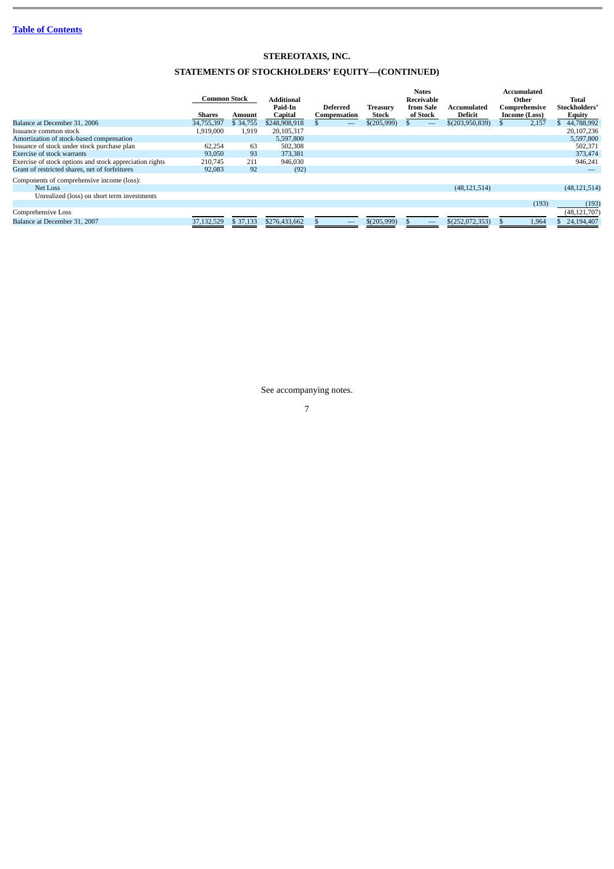# **STATEMENTS OF STOCKHOLDERS' EQUITY—(CONTINUED)**

|                                                         | Common Stock |          | <b>Additional</b> |                          |                 | <b>Notes</b><br>Receivable |                 | <b>Accumulated</b><br>Other | Total          |
|---------------------------------------------------------|--------------|----------|-------------------|--------------------------|-----------------|----------------------------|-----------------|-----------------------------|----------------|
|                                                         |              |          | Paid-In           | <b>Deferred</b>          | <b>Treasury</b> | from Sale                  | Accumulated     | Comprehensive               | Stockholders'  |
|                                                         | Shares       | Amount   | Capital           | Compensation             | Stock           | of Stock                   | Deficit         | Income (Loss)               | Equity         |
| Balance at December 31, 2006                            | 34,755,397   | \$34,755 | \$248,908,918     | $\overline{\phantom{m}}$ | \$(205,999)     |                            | \$(203,950,839) | 2,157                       | 44,788,992     |
| Issuance common stock                                   | 1,919,000    | 1,919    | 20,105,317        |                          |                 |                            |                 |                             | 20,107,236     |
| Amortization of stock-based compensation                |              |          | 5.597.800         |                          |                 |                            |                 |                             | 5,597,800      |
| Issuance of stock under stock purchase plan             | 62,254       | 63       | 502,308           |                          |                 |                            |                 |                             | 502,371        |
| <b>Exercise of stock warrants</b>                       | 93,050       | 93       | 373,381           |                          |                 |                            |                 |                             | 373,474        |
| Exercise of stock options and stock appreciation rights | 210,745      | 211      | 946,030           |                          |                 |                            |                 |                             | 946,241        |
| Grant of restricted shares, net of forfeitures          | 92,083       | 92       | (92)              |                          |                 |                            |                 |                             |                |
| Components of comprehensive income (loss):              |              |          |                   |                          |                 |                            |                 |                             |                |
| Net Loss                                                |              |          |                   |                          |                 |                            | (48, 121, 514)  |                             | (48, 121, 514) |
| Unrealized (loss) on short term investments             |              |          |                   |                          |                 |                            |                 |                             |                |
|                                                         |              |          |                   |                          |                 |                            |                 | (193)                       | (193)          |
| Comprehensive Loss                                      |              |          |                   |                          |                 |                            |                 |                             | (48, 121, 707) |
| Balance at December 31, 2007                            | 37,132,529   | \$37,133 | \$276,433,662     |                          | \$(205,999)     |                            | \$(252,072,353) | 1,964                       | 24,194,407     |

See accompanying notes.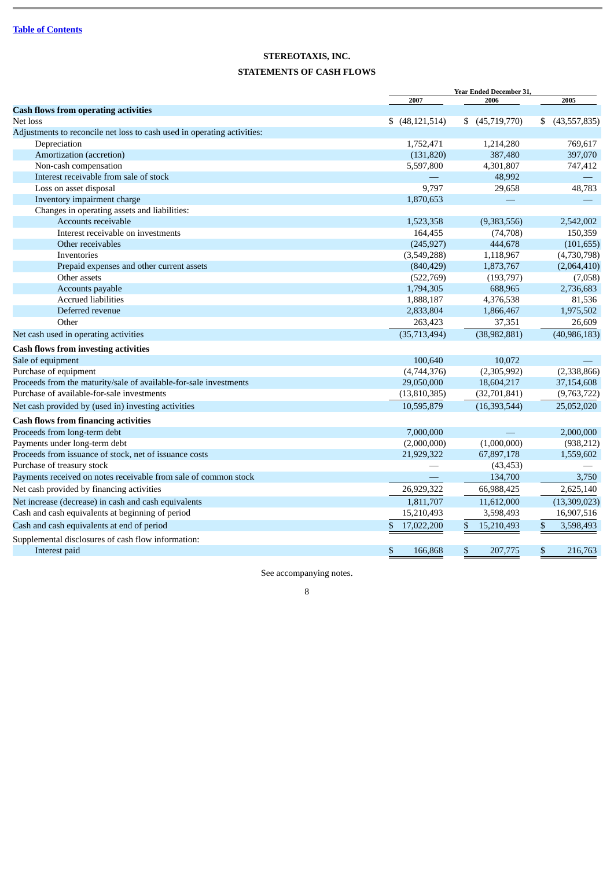# **STATEMENTS OF CASH FLOWS**

<span id="page-9-0"></span>

|                                                                         |                   | <b>Year Ended December 31,</b> |                    |
|-------------------------------------------------------------------------|-------------------|--------------------------------|--------------------|
|                                                                         | 2007              | 2006                           | 2005               |
| <b>Cash flows from operating activities</b>                             |                   |                                |                    |
| Net loss                                                                | \$ (48, 121, 514) | \$ (45,719,770)                | (43,557,835)<br>\$ |
| Adjustments to reconcile net loss to cash used in operating activities: |                   |                                |                    |
| Depreciation                                                            | 1,752,471         | 1,214,280                      | 769,617            |
| Amortization (accretion)                                                | (131, 820)        | 387,480                        | 397,070            |
| Non-cash compensation                                                   | 5,597,800         | 4,301,807                      | 747,412            |
| Interest receivable from sale of stock                                  |                   | 48,992                         |                    |
| Loss on asset disposal                                                  | 9,797             | 29,658                         | 48,783             |
| Inventory impairment charge                                             | 1,870,653         |                                |                    |
| Changes in operating assets and liabilities:                            |                   |                                |                    |
| Accounts receivable                                                     | 1,523,358         | (9,383,556)                    | 2,542,002          |
| Interest receivable on investments                                      | 164,455           | (74, 708)                      | 150,359            |
| Other receivables                                                       | (245, 927)        | 444,678                        | (101, 655)         |
| Inventories                                                             | (3,549,288)       | 1,118,967                      | (4,730,798)        |
| Prepaid expenses and other current assets                               | (840, 429)        | 1,873,767                      | (2,064,410)        |
| Other assets                                                            | (522,769)         | (193,797)                      | (7,058)            |
| Accounts payable                                                        | 1,794,305         | 688,965                        | 2,736,683          |
| <b>Accrued liabilities</b>                                              | 1,888,187         | 4,376,538                      | 81,536             |
| Deferred revenue                                                        | 2,833,804         | 1,866,467                      | 1,975,502          |
| Other                                                                   | 263,423           | 37,351                         | 26,609             |
| Net cash used in operating activities                                   | (35, 713, 494)    | (38,982,881)                   | (40, 986, 183)     |
| <b>Cash flows from investing activities</b>                             |                   |                                |                    |
| Sale of equipment                                                       | 100,640           | 10,072                         |                    |
| Purchase of equipment                                                   | (4,744,376)       | (2,305,992)                    | (2,338,866)        |
| Proceeds from the maturity/sale of available-for-sale investments       | 29,050,000        | 18,604,217                     | 37,154,608         |
| Purchase of available-for-sale investments                              | (13,810,385)      | (32,701,841)                   | (9,763,722)        |
| Net cash provided by (used in) investing activities                     | 10,595,879        | (16, 393, 544)                 | 25,052,020         |
| <b>Cash flows from financing activities</b>                             |                   |                                |                    |
| Proceeds from long-term debt                                            | 7,000,000         |                                | 2,000,000          |
| Payments under long-term debt                                           | (2,000,000)       | (1,000,000)                    | (938, 212)         |
| Proceeds from issuance of stock, net of issuance costs                  | 21,929,322        | 67,897,178                     | 1,559,602          |
| Purchase of treasury stock                                              |                   | (43, 453)                      |                    |
| Payments received on notes receivable from sale of common stock         |                   | 134,700                        | 3,750              |
| Net cash provided by financing activities                               | 26,929,322        | 66,988,425                     | 2,625,140          |
| Net increase (decrease) in cash and cash equivalents                    | 1,811,707         | 11,612,000                     | (13,309,023)       |
| Cash and cash equivalents at beginning of period                        | 15,210,493        | 3,598,493                      | 16,907,516         |
|                                                                         | \$                |                                | \$                 |
| Cash and cash equivalents at end of period                              | 17,022,200        | \$<br>15,210,493               | 3,598,493          |
| Supplemental disclosures of cash flow information:                      |                   |                                |                    |
| Interest paid                                                           | \$<br>166,868     | $\mathbb{S}$<br>207,775        | \$<br>216,763      |

See accompanying notes.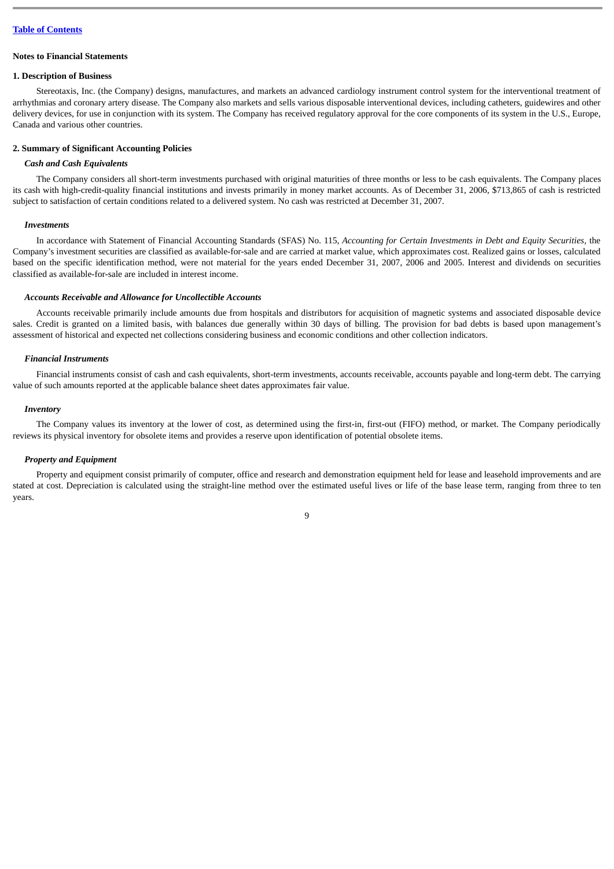#### <span id="page-10-0"></span>**Notes to Financial Statements**

#### **1. Description of Business**

Stereotaxis, Inc. (the Company) designs, manufactures, and markets an advanced cardiology instrument control system for the interventional treatment of arrhythmias and coronary artery disease. The Company also markets and sells various disposable interventional devices, including catheters, guidewires and other delivery devices, for use in conjunction with its system. The Company has received regulatory approval for the core components of its system in the U.S., Europe, Canada and various other countries.

#### **2. Summary of Significant Accounting Policies**

#### *Cash and Cash Equivalents*

The Company considers all short-term investments purchased with original maturities of three months or less to be cash equivalents. The Company places its cash with high-credit-quality financial institutions and invests primarily in money market accounts. As of December 31, 2006, \$713,865 of cash is restricted subject to satisfaction of certain conditions related to a delivered system. No cash was restricted at December 31, 2007.

#### *Investments*

In accordance with Statement of Financial Accounting Standards (SFAS) No. 115, *Accounting for Certain Investments in Debt and Equity Securities,* the Company's investment securities are classified as available-for-sale and are carried at market value, which approximates cost. Realized gains or losses, calculated based on the specific identification method, were not material for the years ended December 31, 2007, 2006 and 2005. Interest and dividends on securities classified as available-for-sale are included in interest income.

#### *Accounts Receivable and Allowance for Uncollectible Accounts*

Accounts receivable primarily include amounts due from hospitals and distributors for acquisition of magnetic systems and associated disposable device sales. Credit is granted on a limited basis, with balances due generally within 30 days of billing. The provision for bad debts is based upon management's assessment of historical and expected net collections considering business and economic conditions and other collection indicators.

#### *Financial Instruments*

Financial instruments consist of cash and cash equivalents, short-term investments, accounts receivable, accounts payable and long-term debt. The carrying value of such amounts reported at the applicable balance sheet dates approximates fair value.

#### *Inventory*

The Company values its inventory at the lower of cost, as determined using the first-in, first-out (FIFO) method, or market. The Company periodically reviews its physical inventory for obsolete items and provides a reserve upon identification of potential obsolete items.

#### *Property and Equipment*

Property and equipment consist primarily of computer, office and research and demonstration equipment held for lease and leasehold improvements and are stated at cost. Depreciation is calculated using the straight-line method over the estimated useful lives or life of the base lease term, ranging from three to ten years.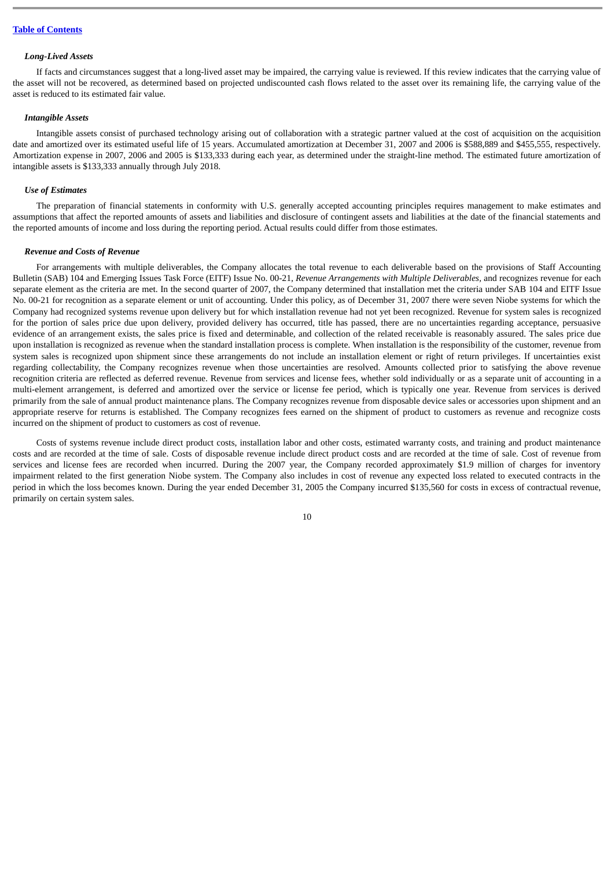#### *Long-Lived Assets*

If facts and circumstances suggest that a long-lived asset may be impaired, the carrying value is reviewed. If this review indicates that the carrying value of the asset will not be recovered, as determined based on projected undiscounted cash flows related to the asset over its remaining life, the carrying value of the asset is reduced to its estimated fair value.

#### *Intangible Assets*

Intangible assets consist of purchased technology arising out of collaboration with a strategic partner valued at the cost of acquisition on the acquisition date and amortized over its estimated useful life of 15 years. Accumulated amortization at December 31, 2007 and 2006 is \$588,889 and \$455,555, respectively. Amortization expense in 2007, 2006 and 2005 is \$133,333 during each year, as determined under the straight-line method. The estimated future amortization of intangible assets is \$133,333 annually through July 2018.

#### *Use of Estimates*

The preparation of financial statements in conformity with U.S. generally accepted accounting principles requires management to make estimates and assumptions that affect the reported amounts of assets and liabilities and disclosure of contingent assets and liabilities at the date of the financial statements and the reported amounts of income and loss during the reporting period. Actual results could differ from those estimates.

#### *Revenue and Costs of Revenue*

For arrangements with multiple deliverables, the Company allocates the total revenue to each deliverable based on the provisions of Staff Accounting Bulletin (SAB) 104 and Emerging Issues Task Force (EITF) Issue No. 00-21, *Revenue Arrangements with Multiple Deliverables,* and recognizes revenue for each separate element as the criteria are met. In the second quarter of 2007, the Company determined that installation met the criteria under SAB 104 and EITF Issue No. 00-21 for recognition as a separate element or unit of accounting. Under this policy, as of December 31, 2007 there were seven Niobe systems for which the Company had recognized systems revenue upon delivery but for which installation revenue had not yet been recognized. Revenue for system sales is recognized for the portion of sales price due upon delivery, provided delivery has occurred, title has passed, there are no uncertainties regarding acceptance, persuasive evidence of an arrangement exists, the sales price is fixed and determinable, and collection of the related receivable is reasonably assured. The sales price due upon installation is recognized as revenue when the standard installation process is complete. When installation is the responsibility of the customer, revenue from system sales is recognized upon shipment since these arrangements do not include an installation element or right of return privileges. If uncertainties exist regarding collectability, the Company recognizes revenue when those uncertainties are resolved. Amounts collected prior to satisfying the above revenue recognition criteria are reflected as deferred revenue. Revenue from services and license fees, whether sold individually or as a separate unit of accounting in a multi-element arrangement, is deferred and amortized over the service or license fee period, which is typically one year. Revenue from services is derived primarily from the sale of annual product maintenance plans. The Company recognizes revenue from disposable device sales or accessories upon shipment and an appropriate reserve for returns is established. The Company recognizes fees earned on the shipment of product to customers as revenue and recognize costs incurred on the shipment of product to customers as cost of revenue.

Costs of systems revenue include direct product costs, installation labor and other costs, estimated warranty costs, and training and product maintenance costs and are recorded at the time of sale. Costs of disposable revenue include direct product costs and are recorded at the time of sale. Cost of revenue from services and license fees are recorded when incurred. During the 2007 year, the Company recorded approximately \$1.9 million of charges for inventory impairment related to the first generation Niobe system. The Company also includes in cost of revenue any expected loss related to executed contracts in the period in which the loss becomes known. During the year ended December 31, 2005 the Company incurred \$135,560 for costs in excess of contractual revenue, primarily on certain system sales.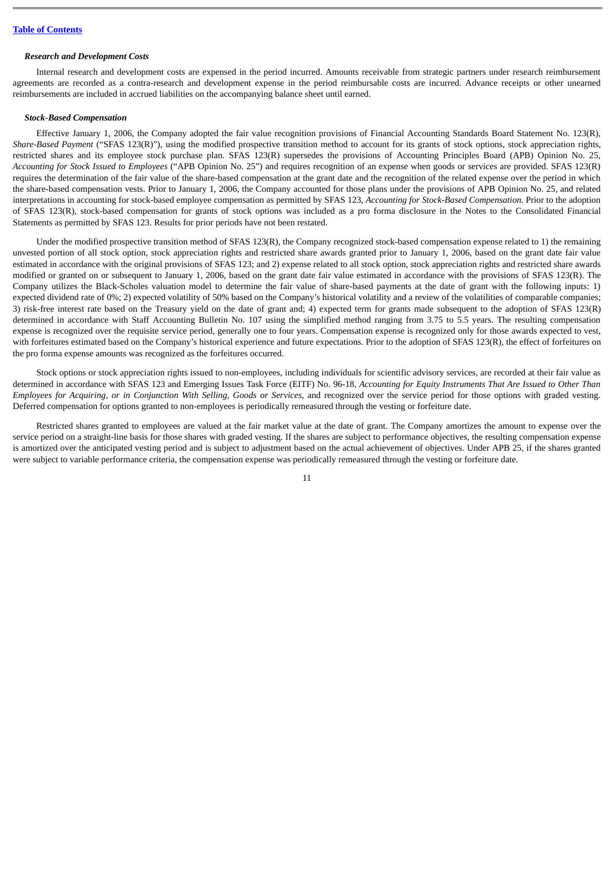#### *Research and Development Costs*

Internal research and development costs are expensed in the period incurred. Amounts receivable from strategic partners under research reimbursement agreements are recorded as a contra-research and development expense in the period reimbursable costs are incurred. Advance receipts or other unearned reimbursements are included in accrued liabilities on the accompanying balance sheet until earned.

#### *Stock-Based Compensation*

Effective January 1, 2006, the Company adopted the fair value recognition provisions of Financial Accounting Standards Board Statement No. 123(R), *Share-Based Payment* ("SFAS 123(R)"), using the modified prospective transition method to account for its grants of stock options, stock appreciation rights, restricted shares and its employee stock purchase plan. SFAS 123(R) supersedes the provisions of Accounting Principles Board (APB) Opinion No. 25, *Accounting for Stock Issued to Employees* ("APB Opinion No. 25") and requires recognition of an expense when goods or services are provided. SFAS 123(R) requires the determination of the fair value of the share-based compensation at the grant date and the recognition of the related expense over the period in which the share-based compensation vests. Prior to January 1, 2006, the Company accounted for those plans under the provisions of APB Opinion No. 25*,* and related interpretations in accounting for stock-based employee compensation as permitted by SFAS 123, *Accounting for Stock-Based Compensation.* Prior to the adoption of SFAS 123(R), stock-based compensation for grants of stock options was included as a pro forma disclosure in the Notes to the Consolidated Financial Statements as permitted by SFAS 123. Results for prior periods have not been restated.

Under the modified prospective transition method of SFAS 123(R), the Company recognized stock-based compensation expense related to 1) the remaining unvested portion of all stock option, stock appreciation rights and restricted share awards granted prior to January 1, 2006, based on the grant date fair value estimated in accordance with the original provisions of SFAS 123; and 2) expense related to all stock option, stock appreciation rights and restricted share awards modified or granted on or subsequent to January 1, 2006, based on the grant date fair value estimated in accordance with the provisions of SFAS 123(R). The Company utilizes the Black-Scholes valuation model to determine the fair value of share-based payments at the date of grant with the following inputs: 1) expected dividend rate of 0%; 2) expected volatility of 50% based on the Company's historical volatility and a review of the volatilities of comparable companies; 3) risk-free interest rate based on the Treasury yield on the date of grant and; 4) expected term for grants made subsequent to the adoption of SFAS 123(R) determined in accordance with Staff Accounting Bulletin No. 107 using the simplified method ranging from 3.75 to 5.5 years. The resulting compensation expense is recognized over the requisite service period, generally one to four years. Compensation expense is recognized only for those awards expected to vest, with forfeitures estimated based on the Company's historical experience and future expectations. Prior to the adoption of SFAS 123(R), the effect of forfeitures on the pro forma expense amounts was recognized as the forfeitures occurred.

Stock options or stock appreciation rights issued to non-employees, including individuals for scientific advisory services, are recorded at their fair value as determined in accordance with SFAS 123 and Emerging Issues Task Force (EITF) No. 96-18, *Accounting for Equity Instruments That Are Issued to Other Than Employees for Acquiring, or in Conjunction With Selling, Goods or Services,* and recognized over the service period for those options with graded vesting. Deferred compensation for options granted to non-employees is periodically remeasured through the vesting or forfeiture date.

Restricted shares granted to employees are valued at the fair market value at the date of grant. The Company amortizes the amount to expense over the service period on a straight-line basis for those shares with graded vesting. If the shares are subject to performance objectives, the resulting compensation expense is amortized over the anticipated vesting period and is subject to adjustment based on the actual achievement of objectives. Under APB 25, if the shares granted were subject to variable performance criteria, the compensation expense was periodically remeasured through the vesting or forfeiture date.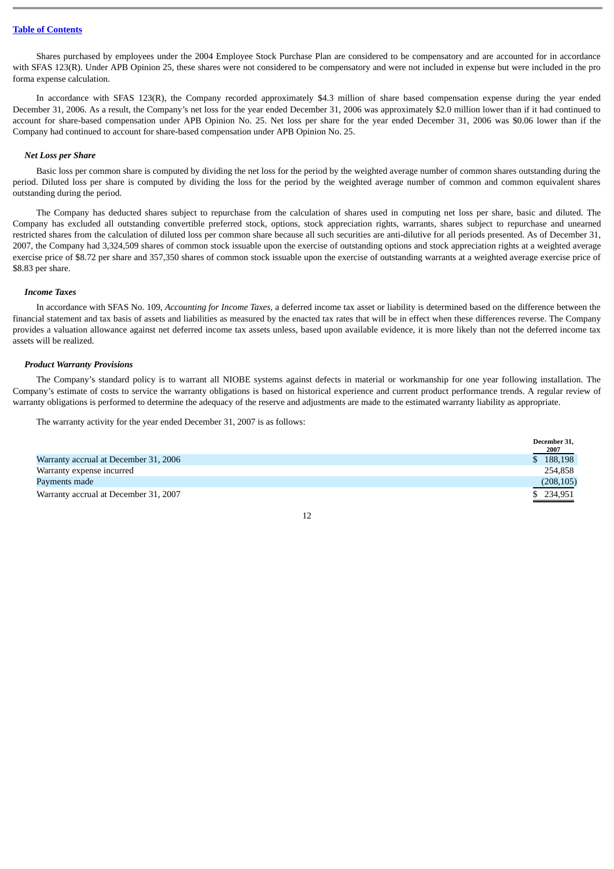Shares purchased by employees under the 2004 Employee Stock Purchase Plan are considered to be compensatory and are accounted for in accordance with SFAS 123(R). Under APB Opinion 25, these shares were not considered to be compensatory and were not included in expense but were included in the pro forma expense calculation.

In accordance with SFAS 123(R), the Company recorded approximately \$4.3 million of share based compensation expense during the year ended December 31, 2006. As a result, the Company's net loss for the year ended December 31, 2006 was approximately \$2.0 million lower than if it had continued to account for share-based compensation under APB Opinion No. 25. Net loss per share for the year ended December 31, 2006 was \$0.06 lower than if the Company had continued to account for share-based compensation under APB Opinion No. 25.

#### *Net Loss per Share*

Basic loss per common share is computed by dividing the net loss for the period by the weighted average number of common shares outstanding during the period. Diluted loss per share is computed by dividing the loss for the period by the weighted average number of common and common equivalent shares outstanding during the period.

The Company has deducted shares subject to repurchase from the calculation of shares used in computing net loss per share, basic and diluted. The Company has excluded all outstanding convertible preferred stock, options, stock appreciation rights, warrants, shares subject to repurchase and unearned restricted shares from the calculation of diluted loss per common share because all such securities are anti-dilutive for all periods presented. As of December 31, 2007, the Company had 3,324,509 shares of common stock issuable upon the exercise of outstanding options and stock appreciation rights at a weighted average exercise price of \$8.72 per share and 357,350 shares of common stock issuable upon the exercise of outstanding warrants at a weighted average exercise price of \$8.83 per share.

#### *Income Taxes*

In accordance with SFAS No. 109, *Accounting for Income Taxes,* a deferred income tax asset or liability is determined based on the difference between the financial statement and tax basis of assets and liabilities as measured by the enacted tax rates that will be in effect when these differences reverse. The Company provides a valuation allowance against net deferred income tax assets unless, based upon available evidence, it is more likely than not the deferred income tax assets will be realized.

#### *Product Warranty Provisions*

The Company's standard policy is to warrant all NIOBE systems against defects in material or workmanship for one year following installation. The Company's estimate of costs to service the warranty obligations is based on historical experience and current product performance trends. A regular review of warranty obligations is performed to determine the adequacy of the reserve and adjustments are made to the estimated warranty liability as appropriate.

The warranty activity for the year ended December 31, 2007 is as follows:

|                                       | December 31, |
|---------------------------------------|--------------|
|                                       | 2007         |
| Warranty accrual at December 31, 2006 | \$188,198    |
| Warranty expense incurred             | 254.858      |
| Payments made                         | (208, 105)   |
| Warranty accrual at December 31, 2007 | \$ 234,951   |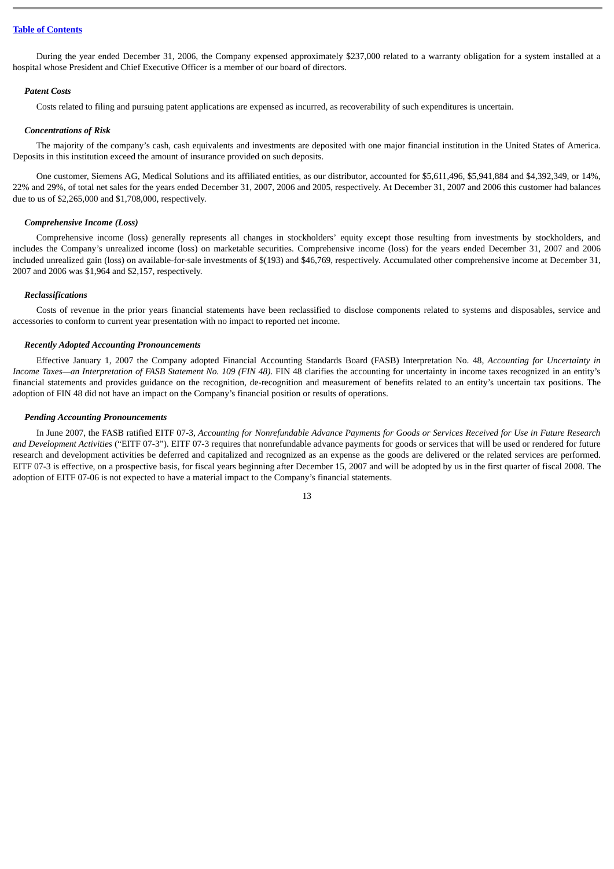During the year ended December 31, 2006, the Company expensed approximately \$237,000 related to a warranty obligation for a system installed at a hospital whose President and Chief Executive Officer is a member of our board of directors.

#### *Patent Costs*

Costs related to filing and pursuing patent applications are expensed as incurred, as recoverability of such expenditures is uncertain.

#### *Concentrations of Risk*

The majority of the company's cash, cash equivalents and investments are deposited with one major financial institution in the United States of America. Deposits in this institution exceed the amount of insurance provided on such deposits.

One customer, Siemens AG, Medical Solutions and its affiliated entities, as our distributor, accounted for \$5,611,496, \$5,941,884 and \$4,392,349, or 14%, 22% and 29%, of total net sales for the years ended December 31, 2007, 2006 and 2005, respectively. At December 31, 2007 and 2006 this customer had balances due to us of \$2,265,000 and \$1,708,000, respectively.

#### *Comprehensive Income (Loss)*

Comprehensive income (loss) generally represents all changes in stockholders' equity except those resulting from investments by stockholders, and includes the Company's unrealized income (loss) on marketable securities. Comprehensive income (loss) for the years ended December 31, 2007 and 2006 included unrealized gain (loss) on available-for-sale investments of \$(193) and \$46,769, respectively. Accumulated other comprehensive income at December 31, 2007 and 2006 was \$1,964 and \$2,157, respectively.

#### *Reclassifications*

Costs of revenue in the prior years financial statements have been reclassified to disclose components related to systems and disposables, service and accessories to conform to current year presentation with no impact to reported net income.

#### *Recently Adopted Accounting Pronouncements*

Effective January 1, 2007 the Company adopted Financial Accounting Standards Board (FASB) Interpretation No. 48, *Accounting for Uncertainty in Income Taxes—an Interpretation of FASB Statement No. 109 (FIN 48)*. FIN 48 clarifies the accounting for uncertainty in income taxes recognized in an entity's financial statements and provides guidance on the recognition, de-recognition and measurement of benefits related to an entity's uncertain tax positions. The adoption of FIN 48 did not have an impact on the Company's financial position or results of operations.

#### *Pending Accounting Pronouncements*

In June 2007, the FASB ratified EITF 07-3, *Accounting for Nonrefundable Advance Payments for Goods or Services Received for Use in Future Research and Development Activities* ("EITF 07-3"). EITF 07-3 requires that nonrefundable advance payments for goods or services that will be used or rendered for future research and development activities be deferred and capitalized and recognized as an expense as the goods are delivered or the related services are performed. EITF 07-3 is effective, on a prospective basis, for fiscal years beginning after December 15, 2007 and will be adopted by us in the first quarter of fiscal 2008. The adoption of EITF 07-06 is not expected to have a material impact to the Company's financial statements.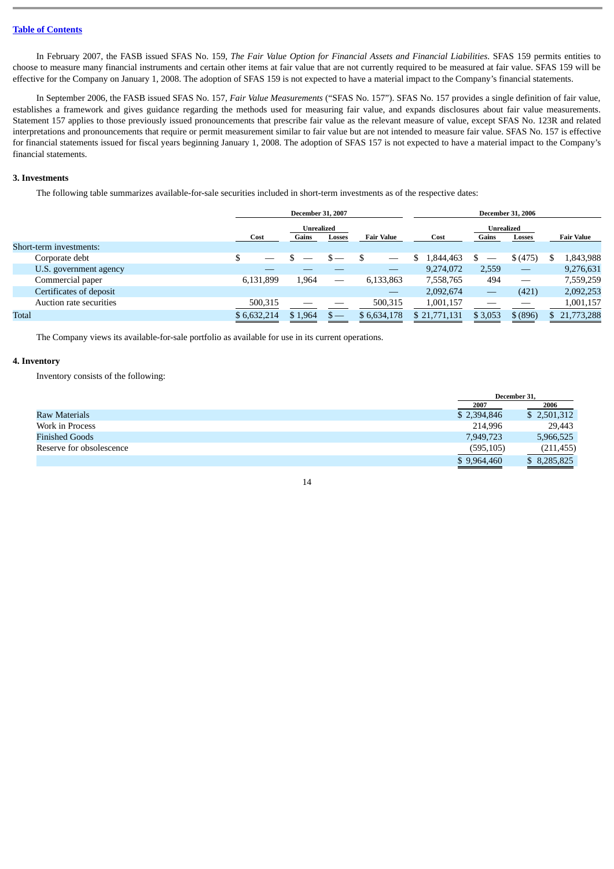In February 2007, the FASB issued SFAS No. 159, *The Fair Value Option for Financial Assets and Financial Liabilities*. SFAS 159 permits entities to choose to measure many financial instruments and certain other items at fair value that are not currently required to be measured at fair value. SFAS 159 will be effective for the Company on January 1, 2008. The adoption of SFAS 159 is not expected to have a material impact to the Company's financial statements.

In September 2006, the FASB issued SFAS No. 157, *Fair Value Measurements* ("SFAS No. 157"). SFAS No. 157 provides a single definition of fair value, establishes a framework and gives guidance regarding the methods used for measuring fair value, and expands disclosures about fair value measurements. Statement 157 applies to those previously issued pronouncements that prescribe fair value as the relevant measure of value, except SFAS No. 123R and related interpretations and pronouncements that require or permit measurement similar to fair value but are not intended to measure fair value. SFAS No. 157 is effective for financial statements issued for fiscal years beginning January 1, 2008. The adoption of SFAS 157 is not expected to have a material impact to the Company's financial statements.

#### **3. Investments**

The following table summarizes available-for-sale securities included in short-term investments as of the respective dates:

|                         | <b>December 31, 2007</b> |                     |        |                   |              | <b>December 31, 2006</b>   |                          |                |
|-------------------------|--------------------------|---------------------|--------|-------------------|--------------|----------------------------|--------------------------|----------------|
|                         | Cost                     | Unrealized<br>Gains | Losses | <b>Fair Value</b> | Cost         | <b>Unrealized</b><br>Gains | Losses                   | Fair Value     |
| Short-term investments: |                          |                     |        |                   |              |                            |                          |                |
| Corporate debt          | S                        |                     |        |                   | 1,844,463    |                            | \$(475)                  | 1,843,988<br>S |
| U.S. government agency  |                          |                     |        | $-$               | 9,274,072    | 2,559                      | $\overline{\phantom{m}}$ | 9,276,631      |
| Commercial paper        | 6,131,899                | 1,964               |        | 6,133,863         | 7,558,765    | 494                        |                          | 7,559,259      |
| Certificates of deposit |                          |                     |        |                   | 2,092,674    |                            | (421)                    | 2,092,253      |
| Auction rate securities | 500,315                  |                     |        | 500,315           | 1,001,157    |                            |                          | 1,001,157      |
| <b>Total</b>            | \$6,632,214              | \$1,964             |        | \$6,634,178       | \$21,771,131 | \$3,053                    | \$ (896)                 | 21,773,288     |

The Company views its available-for-sale portfolio as available for use in its current operations.

#### **4. Inventory**

Inventory consists of the following:

|                          |             | December 31. |
|--------------------------|-------------|--------------|
|                          | 2007        | 2006         |
| Raw Materials            | \$2,394,846 | \$2,501,312  |
| Work in Process          | 214.996     | 29,443       |
| Finished Goods           | 7,949,723   | 5,966,525    |
| Reserve for obsolescence | (595, 105)  | (211, 455)   |
|                          | \$9,964,460 | \$8,285,825  |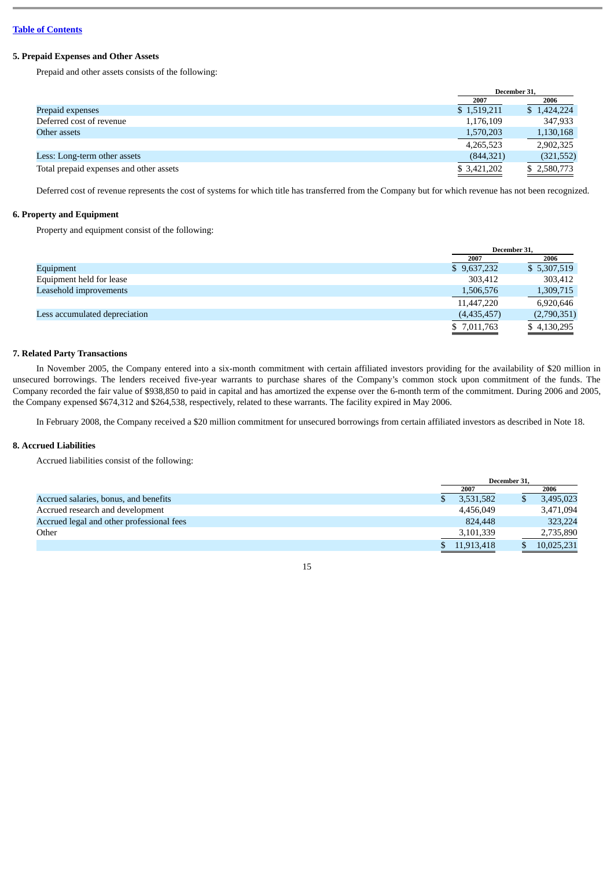#### **5. Prepaid Expenses and Other Assets**

Prepaid and other assets consists of the following:

|                                         | December 31. |             |
|-----------------------------------------|--------------|-------------|
|                                         | 2007         | 2006        |
| Prepaid expenses                        | \$1,519,211  | \$1,424,224 |
| Deferred cost of revenue                | 1,176,109    | 347,933     |
| Other assets                            | 1,570,203    | 1,130,168   |
|                                         | 4,265,523    | 2,902,325   |
| Less: Long-term other assets            | (844, 321)   | (321, 552)  |
| Total prepaid expenses and other assets | \$ 3,421,202 | \$2,580,773 |

Deferred cost of revenue represents the cost of systems for which title has transferred from the Company but for which revenue has not been recognized.

#### **6. Property and Equipment**

Property and equipment consist of the following:

|                               | December 31. |             |
|-------------------------------|--------------|-------------|
|                               | 2007         | 2006        |
| Equipment                     | \$9,637,232  | \$5,307,519 |
| Equipment held for lease      | 303,412      | 303,412     |
| Leasehold improvements        | 1,506,576    | 1,309,715   |
|                               | 11,447,220   | 6,920,646   |
| Less accumulated depreciation | (4,435,457)  | (2,790,351) |
|                               | \$ 7,011,763 | \$4,130,295 |

#### **7. Related Party Transactions**

In November 2005, the Company entered into a six-month commitment with certain affiliated investors providing for the availability of \$20 million in unsecured borrowings. The lenders received five-year warrants to purchase shares of the Company's common stock upon commitment of the funds. The Company recorded the fair value of \$938,850 to paid in capital and has amortized the expense over the 6-month term of the commitment. During 2006 and 2005, the Company expensed \$674,312 and \$264,538, respectively, related to these warrants. The facility expired in May 2006.

In February 2008, the Company received a \$20 million commitment for unsecured borrowings from certain affiliated investors as described in Note 18.

#### **8. Accrued Liabilities**

Accrued liabilities consist of the following:

|                                           |            | December 31.       |  |  |
|-------------------------------------------|------------|--------------------|--|--|
|                                           | 2007       | 2006               |  |  |
| Accrued salaries, bonus, and benefits     | 3.531.582  | 3,495,023          |  |  |
| Accrued research and development          | 4.456.049  | 3,471,094          |  |  |
| Accrued legal and other professional fees |            | 323.224<br>824,448 |  |  |
| Other                                     | 3,101,339  | 2,735,890          |  |  |
|                                           | 11.913.418 | 10,025,231         |  |  |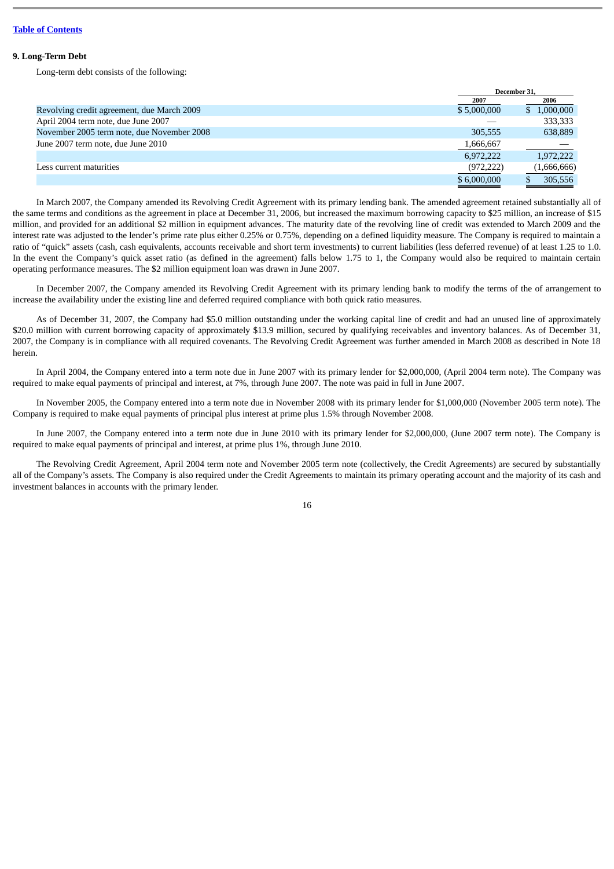#### **9. Long-Term Debt**

Long-term debt consists of the following:

|                                            | December 31. |             |  |
|--------------------------------------------|--------------|-------------|--|
|                                            | 2007         | 2006        |  |
| Revolving credit agreement, due March 2009 | \$5,000,000  | \$1,000,000 |  |
| April 2004 term note, due June 2007        |              | 333,333     |  |
| November 2005 term note, due November 2008 | 305,555      | 638,889     |  |
| June 2007 term note, due June 2010         | 1,666,667    |             |  |
|                                            | 6.972.222    | 1,972,222   |  |
| Less current maturities                    | (972, 222)   | (1,666,666) |  |
|                                            | \$6,000,000  | 305,556     |  |

In March 2007, the Company amended its Revolving Credit Agreement with its primary lending bank. The amended agreement retained substantially all of the same terms and conditions as the agreement in place at December 31, 2006, but increased the maximum borrowing capacity to \$25 million, an increase of \$15 million, and provided for an additional \$2 million in equipment advances. The maturity date of the revolving line of credit was extended to March 2009 and the interest rate was adjusted to the lender's prime rate plus either 0.25% or 0.75%, depending on a defined liquidity measure. The Company is required to maintain a ratio of "quick" assets (cash, cash equivalents, accounts receivable and short term investments) to current liabilities (less deferred revenue) of at least 1.25 to 1.0. In the event the Company's quick asset ratio (as defined in the agreement) falls below 1.75 to 1, the Company would also be required to maintain certain operating performance measures. The \$2 million equipment loan was drawn in June 2007.

In December 2007, the Company amended its Revolving Credit Agreement with its primary lending bank to modify the terms of the of arrangement to increase the availability under the existing line and deferred required compliance with both quick ratio measures.

As of December 31, 2007, the Company had \$5.0 million outstanding under the working capital line of credit and had an unused line of approximately \$20.0 million with current borrowing capacity of approximately \$13.9 million, secured by qualifying receivables and inventory balances. As of December 31, 2007, the Company is in compliance with all required covenants. The Revolving Credit Agreement was further amended in March 2008 as described in Note 18 herein.

In April 2004, the Company entered into a term note due in June 2007 with its primary lender for \$2,000,000, (April 2004 term note). The Company was required to make equal payments of principal and interest, at 7%, through June 2007. The note was paid in full in June 2007.

In November 2005, the Company entered into a term note due in November 2008 with its primary lender for \$1,000,000 (November 2005 term note). The Company is required to make equal payments of principal plus interest at prime plus 1.5% through November 2008.

In June 2007, the Company entered into a term note due in June 2010 with its primary lender for \$2,000,000, (June 2007 term note). The Company is required to make equal payments of principal and interest, at prime plus 1%, through June 2010.

The Revolving Credit Agreement, April 2004 term note and November 2005 term note (collectively, the Credit Agreements) are secured by substantially all of the Company's assets. The Company is also required under the Credit Agreements to maintain its primary operating account and the majority of its cash and investment balances in accounts with the primary lender.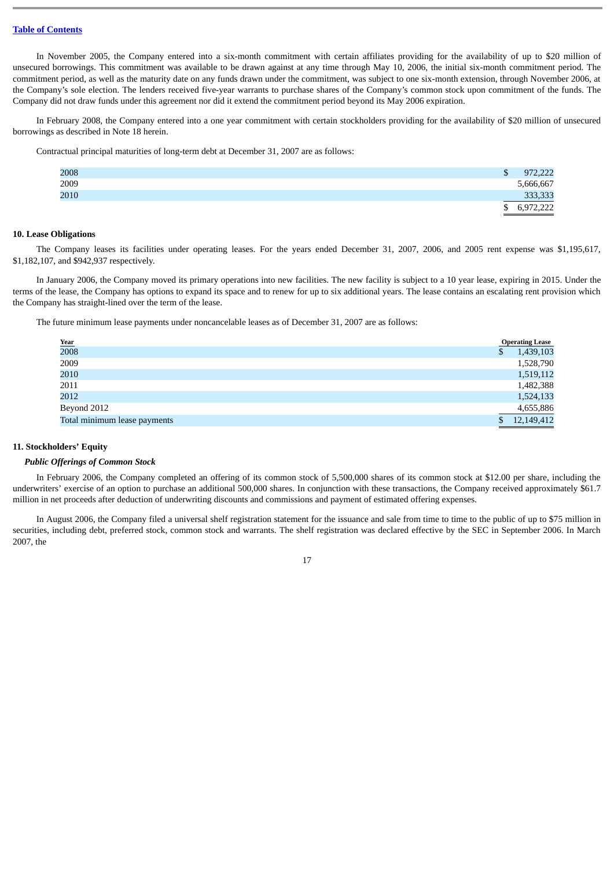In November 2005, the Company entered into a six-month commitment with certain affiliates providing for the availability of up to \$20 million of unsecured borrowings. This commitment was available to be drawn against at any time through May 10, 2006, the initial six-month commitment period. The commitment period, as well as the maturity date on any funds drawn under the commitment, was subject to one six-month extension, through November 2006, at the Company's sole election. The lenders received five-year warrants to purchase shares of the Company's common stock upon commitment of the funds. The Company did not draw funds under this agreement nor did it extend the commitment period beyond its May 2006 expiration.

In February 2008, the Company entered into a one year commitment with certain stockholders providing for the availability of \$20 million of unsecured borrowings as described in Note 18 herein.

Contractual principal maturities of long-term debt at December 31, 2007 are as follows:

| 2008 | 222<br>Q72             |
|------|------------------------|
| 2009 | 5,666,667              |
| 2010 | 333,333                |
|      | ררר<br>ັບເປ<br>ے۔جے وے |

#### **10. Lease Obligations**

The Company leases its facilities under operating leases. For the years ended December 31, 2007, 2006, and 2005 rent expense was \$1,195,617, \$1,182,107, and \$942,937 respectively.

In January 2006, the Company moved its primary operations into new facilities. The new facility is subject to a 10 year lease, expiring in 2015. Under the terms of the lease, the Company has options to expand its space and to renew for up to six additional years. The lease contains an escalating rent provision which the Company has straight-lined over the term of the lease.

The future minimum lease payments under noncancelable leases as of December 31, 2007 are as follows:

|                              | <b>Operating Lease</b> |
|------------------------------|------------------------|
| $\frac{\text{Year}}{2008}$   | \$<br>1,439,103        |
| 2009                         | 1,528,790              |
| 2010                         | 1,519,112              |
| 2011                         | 1,482,388              |
| 2012                         | 1,524,133              |
| Beyond 2012                  | 4,655,886              |
| Total minimum lease payments | 12,149,412             |

#### **11. Stockholders' Equity**

#### *Public Offerings of Common Stock*

In February 2006, the Company completed an offering of its common stock of 5,500,000 shares of its common stock at \$12.00 per share, including the underwriters' exercise of an option to purchase an additional 500,000 shares. In conjunction with these transactions, the Company received approximately \$61.7 million in net proceeds after deduction of underwriting discounts and commissions and payment of estimated offering expenses.

In August 2006, the Company filed a universal shelf registration statement for the issuance and sale from time to time to the public of up to \$75 million in securities, including debt, preferred stock, common stock and warrants. The shelf registration was declared effective by the SEC in September 2006. In March 2007, the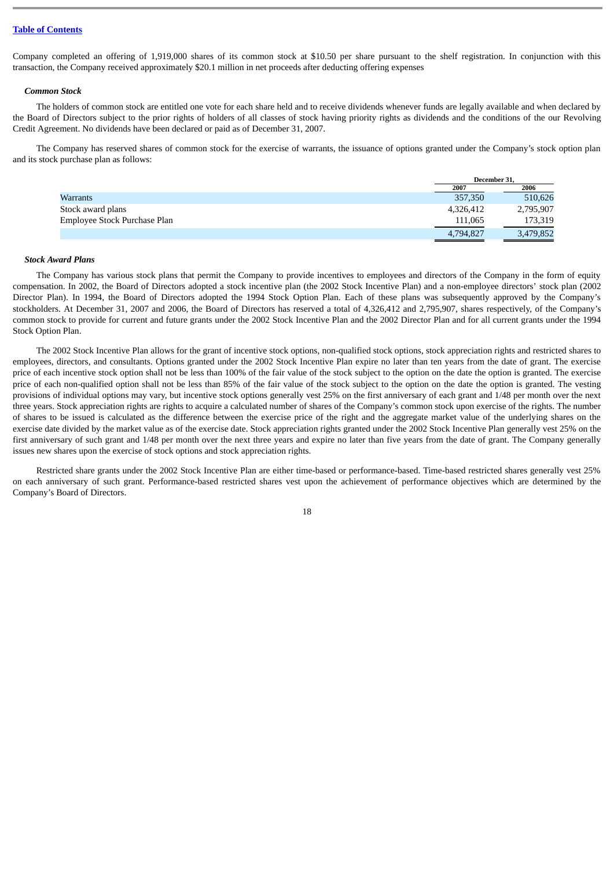Company completed an offering of 1,919,000 shares of its common stock at \$10.50 per share pursuant to the shelf registration. In conjunction with this transaction, the Company received approximately \$20.1 million in net proceeds after deducting offering expenses

#### *Common Stock*

The holders of common stock are entitled one vote for each share held and to receive dividends whenever funds are legally available and when declared by the Board of Directors subject to the prior rights of holders of all classes of stock having priority rights as dividends and the conditions of the our Revolving Credit Agreement. No dividends have been declared or paid as of December 31, 2007.

The Company has reserved shares of common stock for the exercise of warrants, the issuance of options granted under the Company's stock option plan and its stock purchase plan as follows:

|                              |           | December 31. |  |
|------------------------------|-----------|--------------|--|
|                              | 2007      | 2006         |  |
| Warrants                     | 357,350   | 510,626      |  |
| Stock award plans            | 4,326,412 | 2,795,907    |  |
| Employee Stock Purchase Plan | 111.065   | 173,319      |  |
|                              | 4,794,827 | 3,479,852    |  |

#### *Stock Award Plans*

The Company has various stock plans that permit the Company to provide incentives to employees and directors of the Company in the form of equity compensation. In 2002, the Board of Directors adopted a stock incentive plan (the 2002 Stock Incentive Plan) and a non-employee directors' stock plan (2002 Director Plan). In 1994, the Board of Directors adopted the 1994 Stock Option Plan. Each of these plans was subsequently approved by the Company's stockholders. At December 31, 2007 and 2006, the Board of Directors has reserved a total of 4,326,412 and 2,795,907, shares respectively, of the Company's common stock to provide for current and future grants under the 2002 Stock Incentive Plan and the 2002 Director Plan and for all current grants under the 1994 Stock Option Plan.

The 2002 Stock Incentive Plan allows for the grant of incentive stock options, non-qualified stock options, stock appreciation rights and restricted shares to employees, directors, and consultants. Options granted under the 2002 Stock Incentive Plan expire no later than ten years from the date of grant. The exercise price of each incentive stock option shall not be less than 100% of the fair value of the stock subject to the option on the date the option is granted. The exercise price of each non-qualified option shall not be less than 85% of the fair value of the stock subject to the option on the date the option is granted. The vesting provisions of individual options may vary, but incentive stock options generally vest 25% on the first anniversary of each grant and 1/48 per month over the next three years. Stock appreciation rights are rights to acquire a calculated number of shares of the Company's common stock upon exercise of the rights. The number of shares to be issued is calculated as the difference between the exercise price of the right and the aggregate market value of the underlying shares on the exercise date divided by the market value as of the exercise date. Stock appreciation rights granted under the 2002 Stock Incentive Plan generally vest 25% on the first anniversary of such grant and 1/48 per month over the next three years and expire no later than five years from the date of grant. The Company generally issues new shares upon the exercise of stock options and stock appreciation rights.

Restricted share grants under the 2002 Stock Incentive Plan are either time-based or performance-based. Time-based restricted shares generally vest 25% on each anniversary of such grant. Performance-based restricted shares vest upon the achievement of performance objectives which are determined by the Company's Board of Directors.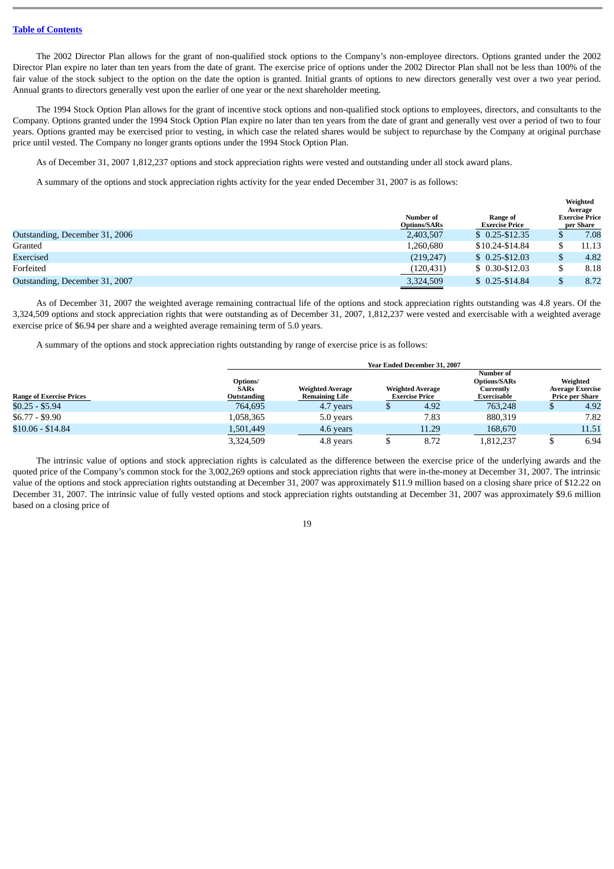The 2002 Director Plan allows for the grant of non-qualified stock options to the Company's non-employee directors. Options granted under the 2002 Director Plan expire no later than ten years from the date of grant. The exercise price of options under the 2002 Director Plan shall not be less than 100% of the fair value of the stock subject to the option on the date the option is granted. Initial grants of options to new directors generally vest over a two year period. Annual grants to directors generally vest upon the earlier of one year or the next shareholder meeting.

The 1994 Stock Option Plan allows for the grant of incentive stock options and non-qualified stock options to employees, directors, and consultants to the Company. Options granted under the 1994 Stock Option Plan expire no later than ten years from the date of grant and generally vest over a period of two to four years. Options granted may be exercised prior to vesting, in which case the related shares would be subject to repurchase by the Company at original purchase price until vested. The Company no longer grants options under the 1994 Stock Option Plan.

As of December 31, 2007 1,812,237 options and stock appreciation rights were vested and outstanding under all stock award plans.

A summary of the options and stock appreciation rights activity for the year ended December 31, 2007 is as follows:

|                                | Number of           | Range of              | <br>Average<br><b>Exercise Price</b> |
|--------------------------------|---------------------|-----------------------|--------------------------------------|
|                                | <b>Options/SARs</b> | <b>Exercise Price</b> | per Share                            |
| Outstanding, December 31, 2006 | 2,403,507           | $$0.25 - $12.35$      | 7.08                                 |
| Granted                        | 1,260,680           | \$10.24-\$14.84       | 11.13                                |
| Exercised                      | (219, 247)          | $$0.25 - $12.03$      | 4.82                                 |
| Forfeited                      | (120, 431)          | $$0.30-S12.03$        | 8.18                                 |
| Outstanding, December 31, 2007 | 3,324,509           | $$0.25 - $14.84$      | 8.72                                 |

**Weighted**

As of December 31, 2007 the weighted average remaining contractual life of the options and stock appreciation rights outstanding was 4.8 years. Of the 3,324,509 options and stock appreciation rights that were outstanding as of December 31, 2007, 1,812,237 were vested and exercisable with a weighted average exercise price of \$6.94 per share and a weighted average remaining term of 5.0 years.

A summary of the options and stock appreciation rights outstanding by range of exercise price is as follows:

|                                 |                         | <b>Year Ended December 31, 2007</b> |                         |                       |                                               |  |                                     |  |
|---------------------------------|-------------------------|-------------------------------------|-------------------------|-----------------------|-----------------------------------------------|--|-------------------------------------|--|
|                                 | Options/<br><b>SARs</b> | <b>Weighted Average</b>             | <b>Weighted Average</b> |                       | Number of<br><b>Options/SARs</b><br>Currently |  | Weighted<br><b>Average Exercise</b> |  |
| <b>Range of Exercise Prices</b> | Outstanding             | <b>Remaining Life</b>               |                         | <b>Exercise Price</b> | Exercisable                                   |  | Price per Share                     |  |
| $$0.25 - $5.94$                 | 764,695                 | 4.7 years                           | ω                       | 4.92                  | 763,248                                       |  | 4.92                                |  |
| $$6.77 - $9.90$                 | 1,058,365               | 5.0 years                           |                         | 7.83                  | 880,319                                       |  | 7.82                                |  |
| $$10.06 - $14.84$               | 1,501,449               | 4.6 years                           |                         | 11.29                 | 168,670                                       |  | 11.51                               |  |
|                                 | 3,324,509               | 4.8 years                           |                         | 8.72                  | 1,812,237                                     |  | 6.94                                |  |

The intrinsic value of options and stock appreciation rights is calculated as the difference between the exercise price of the underlying awards and the quoted price of the Company's common stock for the 3,002,269 options and stock appreciation rights that were in-the-money at December 31, 2007. The intrinsic value of the options and stock appreciation rights outstanding at December 31, 2007 was approximately \$11.9 million based on a closing share price of \$12.22 on December 31, 2007. The intrinsic value of fully vested options and stock appreciation rights outstanding at December 31, 2007 was approximately \$9.6 million based on a closing price of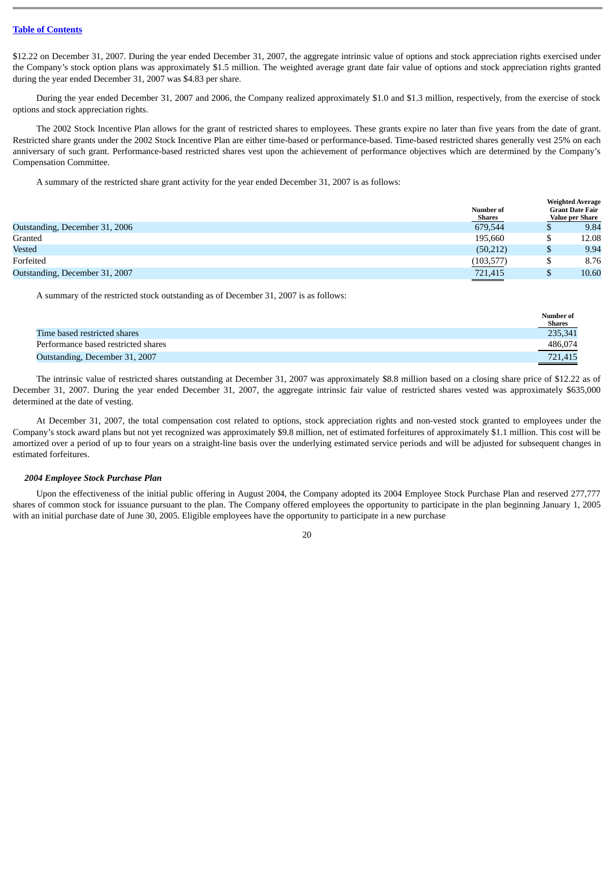\$12.22 on December 31, 2007. During the year ended December 31, 2007, the aggregate intrinsic value of options and stock appreciation rights exercised under the Company's stock option plans was approximately \$1.5 million. The weighted average grant date fair value of options and stock appreciation rights granted during the year ended December 31, 2007 was \$4.83 per share.

During the year ended December 31, 2007 and 2006, the Company realized approximately \$1.0 and \$1.3 million, respectively, from the exercise of stock options and stock appreciation rights.

The 2002 Stock Incentive Plan allows for the grant of restricted shares to employees. These grants expire no later than five years from the date of grant. Restricted share grants under the 2002 Stock Incentive Plan are either time-based or performance-based. Time-based restricted shares generally vest 25% on each anniversary of such grant. Performance-based restricted shares vest upon the achievement of performance objectives which are determined by the Company's Compensation Committee.

A summary of the restricted share grant activity for the year ended December 31, 2007 is as follows:

|                                | Number of<br>Shares |    | <b>Weighted Average</b><br><b>Grant Date Fair</b><br>Value per Share |
|--------------------------------|---------------------|----|----------------------------------------------------------------------|
| Outstanding, December 31, 2006 | 679,544             |    | 9.84                                                                 |
| Granted                        | 195,660             | C  | 12.08                                                                |
| <b>Vested</b>                  | (50,212)            | J. | 9.94                                                                 |
| Forfeited                      | (103, 577)          | J. | 8.76                                                                 |
| Outstanding, December 31, 2007 | 721,415             |    | 10.60                                                                |

A summary of the restricted stock outstanding as of December 31, 2007 is as follows:

|                                     | Number of     |
|-------------------------------------|---------------|
|                                     | <b>Shares</b> |
| Time based restricted shares        | 235,341       |
| Performance based restricted shares | 486,074       |
| Outstanding, December 31, 2007      | 721,415       |

The intrinsic value of restricted shares outstanding at December 31, 2007 was approximately \$8.8 million based on a closing share price of \$12.22 as of December 31, 2007. During the year ended December 31, 2007, the aggregate intrinsic fair value of restricted shares vested was approximately \$635,000 determined at the date of vesting.

At December 31, 2007, the total compensation cost related to options, stock appreciation rights and non-vested stock granted to employees under the Company's stock award plans but not yet recognized was approximately \$9.8 million, net of estimated forfeitures of approximately \$1.1 million. This cost will be amortized over a period of up to four years on a straight-line basis over the underlying estimated service periods and will be adjusted for subsequent changes in estimated forfeitures.

#### *2004 Employee Stock Purchase Plan*

Upon the effectiveness of the initial public offering in August 2004, the Company adopted its 2004 Employee Stock Purchase Plan and reserved 277,777 shares of common stock for issuance pursuant to the plan. The Company offered employees the opportunity to participate in the plan beginning January 1, 2005 with an initial purchase date of June 30, 2005. Eligible employees have the opportunity to participate in a new purchase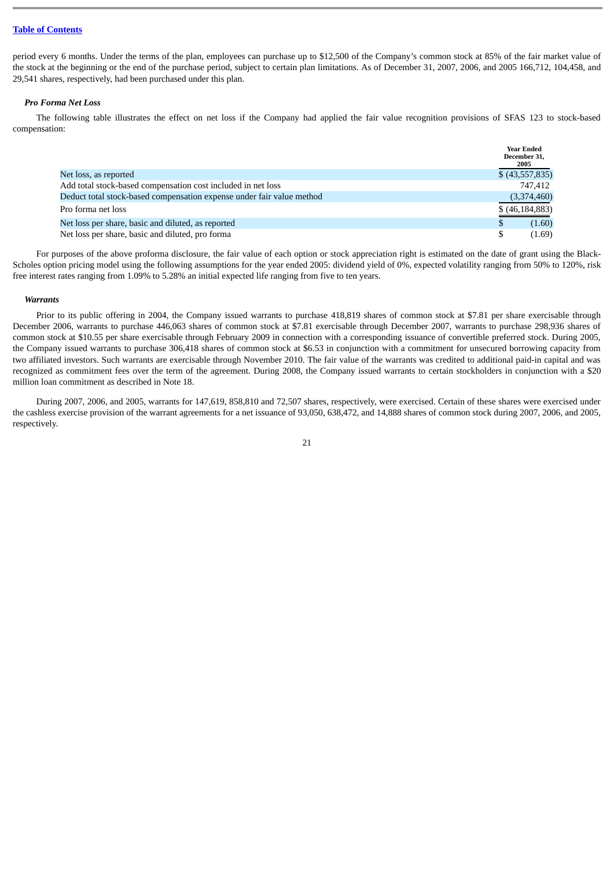period every 6 months. Under the terms of the plan, employees can purchase up to \$12,500 of the Company's common stock at 85% of the fair market value of the stock at the beginning or the end of the purchase period, subject to certain plan limitations. As of December 31, 2007, 2006, and 2005 166,712, 104,458, and 29,541 shares, respectively, had been purchased under this plan.

#### *Pro Forma Net Loss*

The following table illustrates the effect on net loss if the Company had applied the fair value recognition provisions of SFAS 123 to stock-based compensation:

|                                                                       | <b>Year Ended</b><br>December 31,<br>2005 |
|-----------------------------------------------------------------------|-------------------------------------------|
| Net loss, as reported                                                 | \$ (43,557,835)                           |
| Add total stock-based compensation cost included in net loss          | 747.412                                   |
| Deduct total stock-based compensation expense under fair value method | (3,374,460)                               |
| Pro forma net loss                                                    | \$ (46, 184, 883)                         |
| Net loss per share, basic and diluted, as reported                    | (1.60)                                    |
| Net loss per share, basic and diluted, pro forma                      | (1.69)                                    |

For purposes of the above proforma disclosure, the fair value of each option or stock appreciation right is estimated on the date of grant using the Black-Scholes option pricing model using the following assumptions for the year ended 2005: dividend yield of 0%, expected volatility ranging from 50% to 120%, risk free interest rates ranging from 1.09% to 5.28% an initial expected life ranging from five to ten years.

#### *Warrants*

Prior to its public offering in 2004, the Company issued warrants to purchase 418,819 shares of common stock at \$7.81 per share exercisable through December 2006, warrants to purchase 446,063 shares of common stock at \$7.81 exercisable through December 2007, warrants to purchase 298,936 shares of common stock at \$10.55 per share exercisable through February 2009 in connection with a corresponding issuance of convertible preferred stock. During 2005, the Company issued warrants to purchase 306,418 shares of common stock at \$6.53 in conjunction with a commitment for unsecured borrowing capacity from two affiliated investors. Such warrants are exercisable through November 2010. The fair value of the warrants was credited to additional paid-in capital and was recognized as commitment fees over the term of the agreement. During 2008, the Company issued warrants to certain stockholders in conjunction with a \$20 million loan commitment as described in Note 18.

During 2007, 2006, and 2005, warrants for 147,619, 858,810 and 72,507 shares, respectively, were exercised. Certain of these shares were exercised under the cashless exercise provision of the warrant agreements for a net issuance of 93,050, 638,472, and 14,888 shares of common stock during 2007, 2006, and 2005, respectively.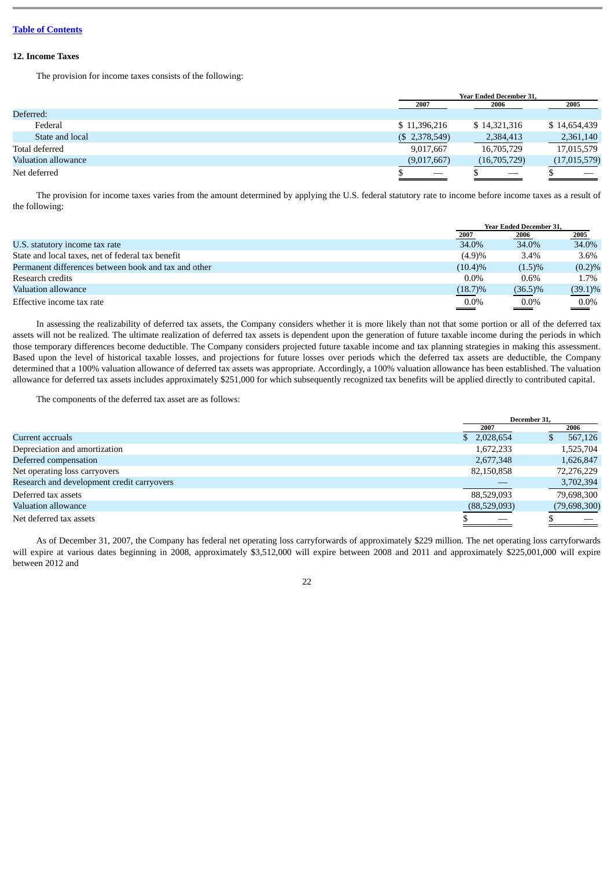#### **12. Income Taxes**

The provision for income taxes consists of the following:

|                     | Year Ended December 31, |              |                |  |
|---------------------|-------------------------|--------------|----------------|--|
|                     | 2007<br>2006            |              | 2005           |  |
| Deferred:           |                         |              |                |  |
| Federal             | \$11,396,216            | \$14,321,316 | \$14,654,439   |  |
| State and local     | (S, 2,378,549)          | 2,384,413    | 2,361,140      |  |
| Total deferred      | 9,017,667               | 16,705,729   | 17,015,579     |  |
| Valuation allowance | (9,017,667)             | (16,705,729) | (17, 015, 579) |  |
| Net deferred        |                         |              |                |  |
|                     |                         |              |                |  |

The provision for income taxes varies from the amount determined by applying the U.S. federal statutory rate to income before income taxes as a result of the following:

|                                                      |            | <b>Year Ended December 31.</b> |            |  |
|------------------------------------------------------|------------|--------------------------------|------------|--|
|                                                      | 2007       | 2006                           | 2005       |  |
| U.S. statutory income tax rate                       | 34.0%      | 34.0%                          | 34.0%      |  |
| State and local taxes, net of federal tax benefit    | (4.9)%     | 3.4%                           | 3.6%       |  |
| Permanent differences between book and tax and other | $(10.4)\%$ | $(1.5)\%$                      | (0.2)%     |  |
| Research credits                                     | $0.0\%$    | $0.6\%$                        | 1.7%       |  |
| Valuation allowance                                  | $(18.7)\%$ | $(36.5)\%$                     | $(39.1)\%$ |  |
| Effective income tax rate                            | $0.0\%$    | $0.0\%$                        | $0.0\%$    |  |

In assessing the realizability of deferred tax assets, the Company considers whether it is more likely than not that some portion or all of the deferred tax assets will not be realized. The ultimate realization of deferred tax assets is dependent upon the generation of future taxable income during the periods in which those temporary differences become deductible. The Company considers projected future taxable income and tax planning strategies in making this assessment. Based upon the level of historical taxable losses, and projections for future losses over periods which the deferred tax assets are deductible, the Company determined that a 100% valuation allowance of deferred tax assets was appropriate. Accordingly, a 100% valuation allowance has been established. The valuation allowance for deferred tax assets includes approximately \$251,000 for which subsequently recognized tax benefits will be applied directly to contributed capital.

The components of the deferred tax asset are as follows:

|                                            |              | December 31, |
|--------------------------------------------|--------------|--------------|
|                                            | 2007         | 2006         |
| Current accruals                           | \$2,028,654  | 567,126      |
| Depreciation and amortization              | 1,672,233    | 1,525,704    |
| Deferred compensation                      | 2,677,348    | 1,626,847    |
| Net operating loss carryovers              | 82,150,858   | 72,276,229   |
| Research and development credit carryovers |              | 3,702,394    |
| Deferred tax assets                        | 88,529,093   | 79,698,300   |
| Valuation allowance                        | (88,529,093) | (79,698,300) |
| Net deferred tax assets                    |              |              |
|                                            |              |              |

As of December 31, 2007, the Company has federal net operating loss carryforwards of approximately \$229 million. The net operating loss carryforwards will expire at various dates beginning in 2008, approximately \$3,512,000 will expire between 2008 and 2011 and approximately \$225,001,000 will expire between 2012 and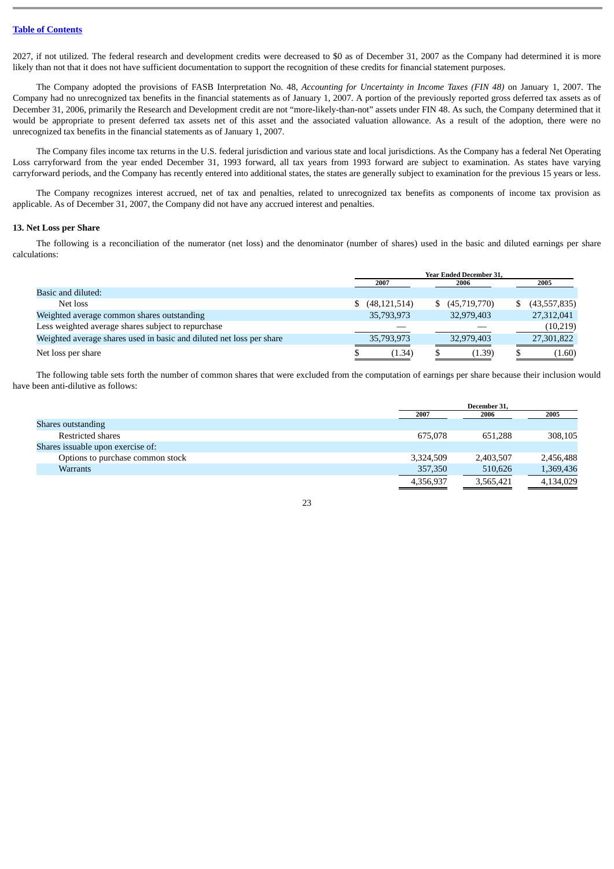2027, if not utilized. The federal research and development credits were decreased to \$0 as of December 31, 2007 as the Company had determined it is more likely than not that it does not have sufficient documentation to support the recognition of these credits for financial statement purposes.

The Company adopted the provisions of FASB Interpretation No. 48, *Accounting for Uncertainty in Income Taxes (FIN 48)* on January 1, 2007. The Company had no unrecognized tax benefits in the financial statements as of January 1, 2007. A portion of the previously reported gross deferred tax assets as of December 31, 2006, primarily the Research and Development credit are not "more-likely-than-not" assets under FIN 48. As such, the Company determined that it would be appropriate to present deferred tax assets net of this asset and the associated valuation allowance. As a result of the adoption, there were no unrecognized tax benefits in the financial statements as of January 1, 2007.

The Company files income tax returns in the U.S. federal jurisdiction and various state and local jurisdictions. As the Company has a federal Net Operating Loss carryforward from the year ended December 31, 1993 forward, all tax years from 1993 forward are subject to examination. As states have varying carryforward periods, and the Company has recently entered into additional states, the states are generally subject to examination for the previous 15 years or less.

The Company recognizes interest accrued, net of tax and penalties, related to unrecognized tax benefits as components of income tax provision as applicable. As of December 31, 2007, the Company did not have any accrued interest and penalties.

#### **13. Net Loss per Share**

The following is a reconciliation of the numerator (net loss) and the denominator (number of shares) used in the basic and diluted earnings per share calculations:

|                                                                      |                | <b>Year Ended December 31,</b> |              |  |
|----------------------------------------------------------------------|----------------|--------------------------------|--------------|--|
|                                                                      | 2007           | 2006                           | 2005         |  |
| Basic and diluted:                                                   |                |                                |              |  |
| Net loss                                                             | (48, 121, 514) | (45,719,770)                   | (43,557,835) |  |
| Weighted average common shares outstanding                           | 35,793,973     | 32,979,403                     | 27,312,041   |  |
| Less weighted average shares subject to repurchase                   |                |                                | (10,219)     |  |
| Weighted average shares used in basic and diluted net loss per share | 35,793,973     | 32,979,403                     | 27,301,822   |  |
| Net loss per share                                                   | (1.34)         | (1.39)                         | (1.60)       |  |

The following table sets forth the number of common shares that were excluded from the computation of earnings per share because their inclusion would have been anti-dilutive as follows:

|                                   |           | December 31. |           |  |
|-----------------------------------|-----------|--------------|-----------|--|
|                                   | 2007      | 2006         | 2005      |  |
| Shares outstanding                |           |              |           |  |
| Restricted shares                 | 675.078   | 651.288      | 308,105   |  |
| Shares issuable upon exercise of: |           |              |           |  |
| Options to purchase common stock  | 3,324,509 | 2.403.507    | 2,456,488 |  |
| Warrants                          | 357,350   | 510.626      | 1,369,436 |  |
|                                   | 4,356,937 | 3,565,421    | 4,134,029 |  |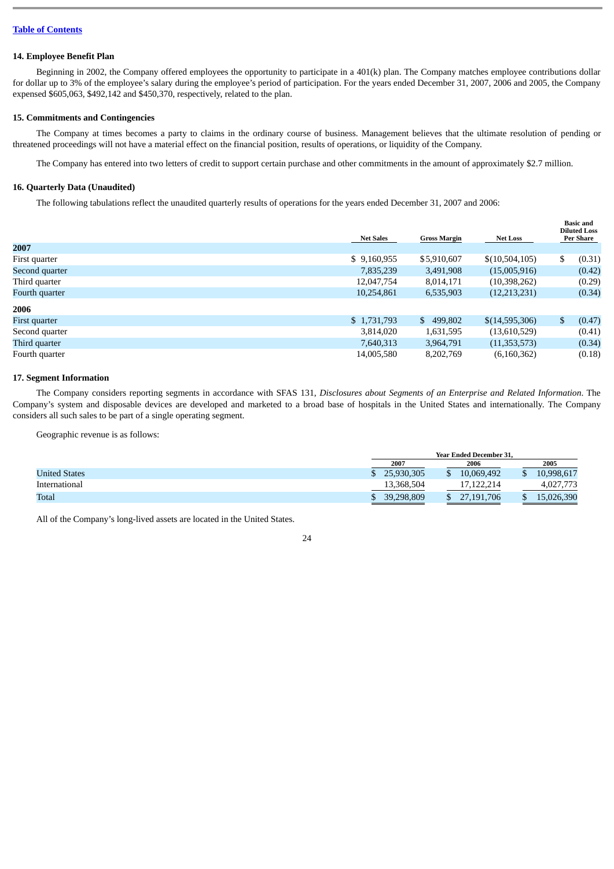#### **14. Employee Benefit Plan**

Beginning in 2002, the Company offered employees the opportunity to participate in a 401(k) plan. The Company matches employee contributions dollar for dollar up to 3% of the employee's salary during the employee's period of participation. For the years ended December 31, 2007, 2006 and 2005, the Company expensed \$605,063, \$492,142 and \$450,370, respectively, related to the plan.

#### **15. Commitments and Contingencies**

The Company at times becomes a party to claims in the ordinary course of business. Management believes that the ultimate resolution of pending or threatened proceedings will not have a material effect on the financial position, results of operations, or liquidity of the Company.

The Company has entered into two letters of credit to support certain purchase and other commitments in the amount of approximately \$2.7 million.

#### **16. Quarterly Data (Unaudited)**

The following tabulations reflect the unaudited quarterly results of operations for the years ended December 31, 2007 and 2006:

|                | <b>Net Sales</b> | <b>Gross Margin</b>     | <b>Net Loss</b> | <b>Basic and</b><br><b>Diluted Loss</b><br>Per Share |
|----------------|------------------|-------------------------|-----------------|------------------------------------------------------|
| 2007           |                  |                         |                 |                                                      |
| First quarter  | \$9,160,955      | \$5,910,607             | \$(10,504,105)  | \$<br>(0.31)                                         |
| Second quarter | 7,835,239        | 3,491,908               | (15,005,916)    | (0.42)                                               |
| Third quarter  | 12,047,754       | 8,014,171               | (10,398,262)    | (0.29)                                               |
| Fourth quarter | 10,254,861       | 6,535,903               | (12, 213, 231)  | (0.34)                                               |
| 2006           |                  |                         |                 |                                                      |
| First quarter  | \$1,731,793      | $\mathbb{S}$<br>499,802 | \$(14,595,306)  | \$<br>(0.47)                                         |
| Second quarter | 3,814,020        | 1,631,595               | (13,610,529)    | (0.41)                                               |
| Third quarter  | 7,640,313        | 3,964,791               | (11,353,573)    | (0.34)                                               |
| Fourth quarter | 14,005,580       | 8,202,769               | (6,160,362)     | (0.18)                                               |

#### **17. Segment Information**

The Company considers reporting segments in accordance with SFAS 131, *Disclosures about Segments of an Enterprise and Related Information*. The Company's system and disposable devices are developed and marketed to a broad base of hospitals in the United States and internationally. The Company considers all such sales to be part of a single operating segment.

Geographic revenue is as follows:

|                      | <b>Year Ended December 31.</b> |  |            |            |
|----------------------|--------------------------------|--|------------|------------|
|                      | 2007                           |  | 2006       | 2005       |
| <b>United States</b> | 25,930,305                     |  | 10,069,492 | 10.998.617 |
| International        | 13.368.504                     |  | 17.122.214 | 4,027,773  |
| Total                | 39,298,809                     |  | 27.191.706 | 15,026,390 |

All of the Company's long-lived assets are located in the United States.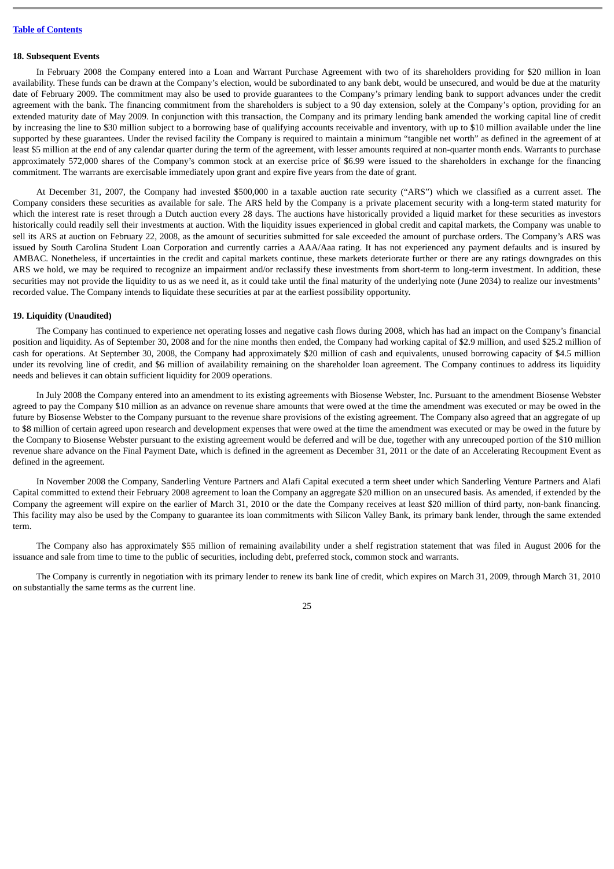#### **18. Subsequent Events**

In February 2008 the Company entered into a Loan and Warrant Purchase Agreement with two of its shareholders providing for \$20 million in loan availability. These funds can be drawn at the Company's election, would be subordinated to any bank debt, would be unsecured, and would be due at the maturity date of February 2009. The commitment may also be used to provide guarantees to the Company's primary lending bank to support advances under the credit agreement with the bank. The financing commitment from the shareholders is subject to a 90 day extension, solely at the Company's option, providing for an extended maturity date of May 2009. In conjunction with this transaction, the Company and its primary lending bank amended the working capital line of credit by increasing the line to \$30 million subject to a borrowing base of qualifying accounts receivable and inventory, with up to \$10 million available under the line supported by these guarantees. Under the revised facility the Company is required to maintain a minimum "tangible net worth" as defined in the agreement of at least \$5 million at the end of any calendar quarter during the term of the agreement, with lesser amounts required at non-quarter month ends. Warrants to purchase approximately 572,000 shares of the Company's common stock at an exercise price of \$6.99 were issued to the shareholders in exchange for the financing commitment. The warrants are exercisable immediately upon grant and expire five years from the date of grant.

At December 31, 2007, the Company had invested \$500,000 in a taxable auction rate security ("ARS") which we classified as a current asset. The Company considers these securities as available for sale. The ARS held by the Company is a private placement security with a long-term stated maturity for which the interest rate is reset through a Dutch auction every 28 days. The auctions have historically provided a liquid market for these securities as investors historically could readily sell their investments at auction. With the liquidity issues experienced in global credit and capital markets, the Company was unable to sell its ARS at auction on February 22, 2008, as the amount of securities submitted for sale exceeded the amount of purchase orders. The Company's ARS was issued by South Carolina Student Loan Corporation and currently carries a AAA/Aaa rating. It has not experienced any payment defaults and is insured by AMBAC. Nonetheless, if uncertainties in the credit and capital markets continue, these markets deteriorate further or there are any ratings downgrades on this ARS we hold, we may be required to recognize an impairment and/or reclassify these investments from short-term to long-term investment. In addition, these securities may not provide the liquidity to us as we need it, as it could take until the final maturity of the underlying note (June 2034) to realize our investments' recorded value. The Company intends to liquidate these securities at par at the earliest possibility opportunity.

#### **19. Liquidity (Unaudited)**

The Company has continued to experience net operating losses and negative cash flows during 2008, which has had an impact on the Company's financial position and liquidity. As of September 30, 2008 and for the nine months then ended, the Company had working capital of \$2.9 million, and used \$25.2 million of cash for operations. At September 30, 2008, the Company had approximately \$20 million of cash and equivalents, unused borrowing capacity of \$4.5 million under its revolving line of credit, and \$6 million of availability remaining on the shareholder loan agreement. The Company continues to address its liquidity needs and believes it can obtain sufficient liquidity for 2009 operations.

In July 2008 the Company entered into an amendment to its existing agreements with Biosense Webster, Inc. Pursuant to the amendment Biosense Webster agreed to pay the Company \$10 million as an advance on revenue share amounts that were owed at the time the amendment was executed or may be owed in the future by Biosense Webster to the Company pursuant to the revenue share provisions of the existing agreement. The Company also agreed that an aggregate of up to \$8 million of certain agreed upon research and development expenses that were owed at the time the amendment was executed or may be owed in the future by the Company to Biosense Webster pursuant to the existing agreement would be deferred and will be due, together with any unrecouped portion of the \$10 million revenue share advance on the Final Payment Date, which is defined in the agreement as December 31, 2011 or the date of an Accelerating Recoupment Event as defined in the agreement.

In November 2008 the Company, Sanderling Venture Partners and Alafi Capital executed a term sheet under which Sanderling Venture Partners and Alafi Capital committed to extend their February 2008 agreement to loan the Company an aggregate \$20 million on an unsecured basis. As amended, if extended by the Company the agreement will expire on the earlier of March 31, 2010 or the date the Company receives at least \$20 million of third party, non-bank financing. This facility may also be used by the Company to guarantee its loan commitments with Silicon Valley Bank, its primary bank lender, through the same extended term.

The Company also has approximately \$55 million of remaining availability under a shelf registration statement that was filed in August 2006 for the issuance and sale from time to time to the public of securities, including debt, preferred stock, common stock and warrants.

The Company is currently in negotiation with its primary lender to renew its bank line of credit, which expires on March 31, 2009, through March 31, 2010 on substantially the same terms as the current line.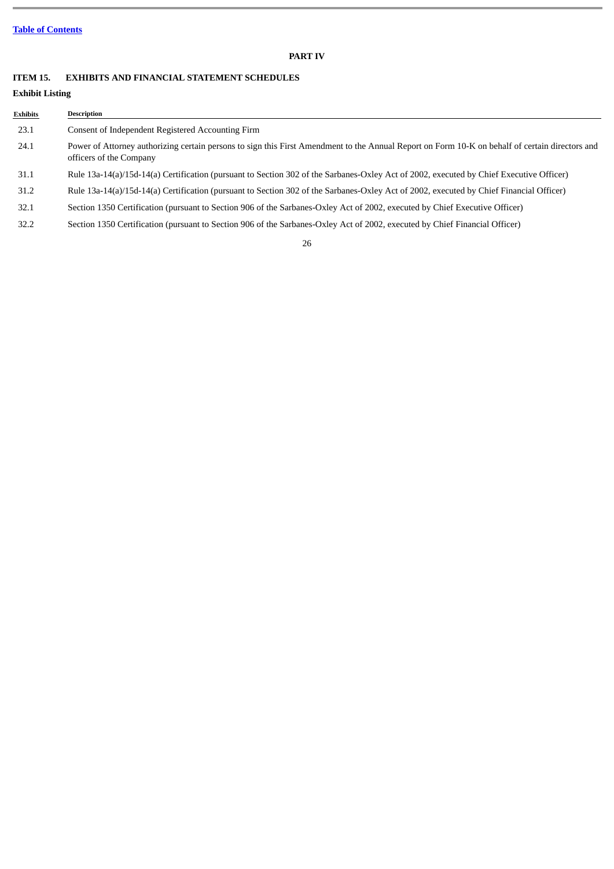# **PART IV**

# <span id="page-27-0"></span>**ITEM 15. EXHIBITS AND FINANCIAL STATEMENT SCHEDULES**

# **Exhibit Listing**

| Exhibits | Description                                                                                                                                                                |
|----------|----------------------------------------------------------------------------------------------------------------------------------------------------------------------------|
| 23.1     | Consent of Independent Registered Accounting Firm                                                                                                                          |
| 24.1     | Power of Attorney authorizing certain persons to sign this First Amendment to the Annual Report on Form 10-K on behalf of certain directors and<br>officers of the Company |
| 31.1     | Rule 13a-14(a)/15d-14(a) Certification (pursuant to Section 302 of the Sarbanes-Oxley Act of 2002, executed by Chief Executive Officer)                                    |
| 31.2     | Rule 13a-14(a)/15d-14(a) Certification (pursuant to Section 302 of the Sarbanes-Oxley Act of 2002, executed by Chief Financial Officer)                                    |
| 32.1     | Section 1350 Certification (pursuant to Section 906 of the Sarbanes-Oxley Act of 2002, executed by Chief Executive Officer)                                                |
|          |                                                                                                                                                                            |

32.2 Section 1350 Certification (pursuant to Section 906 of the Sarbanes-Oxley Act of 2002, executed by Chief Financial Officer)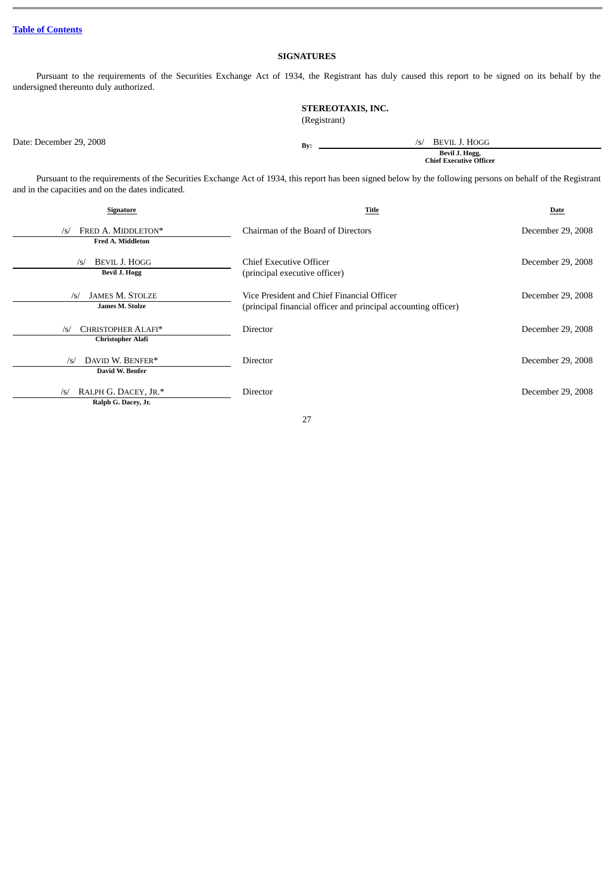### **SIGNATURES**

<span id="page-28-0"></span>Pursuant to the requirements of the Securities Exchange Act of 1934, the Registrant has duly caused this report to be signed on its behalf by the undersigned thereunto duly authorized.

# **STEREOTAXIS, INC.**

(Registrant)

Date: December 29, 2008 **By:** *By: BEVIL J. HOGG* 

**Bevil J. Hogg, Chief Executive Officer**

Pursuant to the requirements of the Securities Exchange Act of 1934, this report has been signed below by the following persons on behalf of the Registrant and in the capacities and on the dates indicated.

| Signature                                                      | Title                                                                                                        | Date              |
|----------------------------------------------------------------|--------------------------------------------------------------------------------------------------------------|-------------------|
| FRED A. MIDDLETON*<br>/s/<br><b>Fred A. Middleton</b>          | Chairman of the Board of Directors                                                                           | December 29, 2008 |
| BEVIL J. HOGG<br>/s/<br><b>Bevil J. Hogg</b>                   | Chief Executive Officer<br>(principal executive officer)                                                     | December 29, 2008 |
| <b>JAMES M. STOLZE</b><br>$\sqrt{s}$<br><b>James M. Stolze</b> | Vice President and Chief Financial Officer<br>(principal financial officer and principal accounting officer) | December 29, 2008 |
| CHRISTOPHER ALAFI*<br>/s/<br><b>Christopher Alafi</b>          | Director                                                                                                     | December 29, 2008 |
| DAVID W. BENFER*<br>/s/<br>David W. Benfer                     | Director                                                                                                     | December 29, 2008 |
| RALPH G. DACEY, JR.*<br>/s/<br>Ralph G. Dacey, Jr.             | Director                                                                                                     | December 29, 2008 |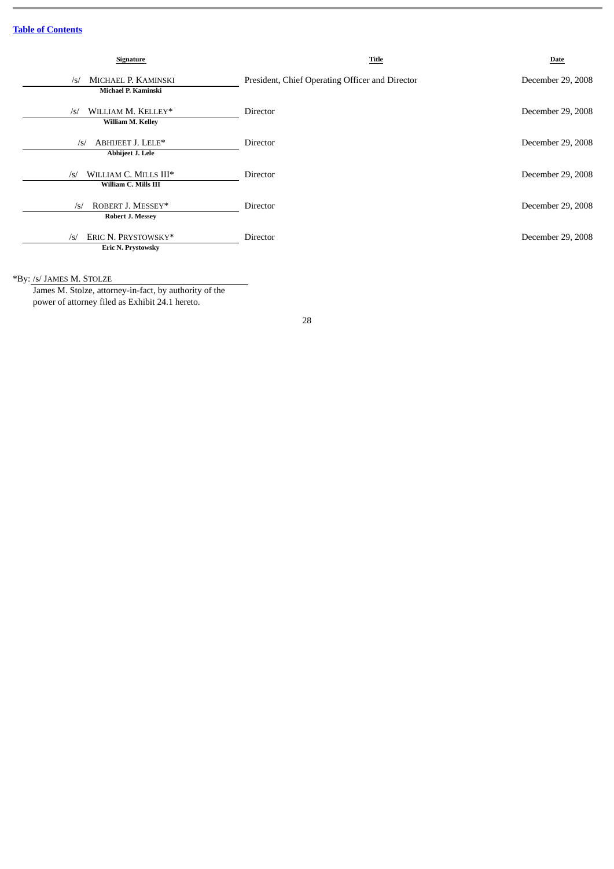| Signature                                            | Title                                           | Date              |
|------------------------------------------------------|-------------------------------------------------|-------------------|
| MICHAEL P. KAMINSKI<br>/s/<br>Michael P. Kaminski    | President, Chief Operating Officer and Director | December 29, 2008 |
| WILLIAM M. KELLEY*<br>/s/<br>William M. Kelley       | Director                                        | December 29, 2008 |
| ABHIJEET J. LELE*<br>$\sqrt{s}$<br>Abhijeet J. Lele  | Director                                        | December 29, 2008 |
| WILLIAM C. MILLS III*<br>/s/<br>William C. Mills III | Director                                        | December 29, 2008 |
| ROBERT J. MESSEY*<br>/s/<br><b>Robert J. Messey</b>  | Director                                        | December 29, 2008 |
| ERIC N. PRYSTOWSKY*<br>/s/<br>Eric N. Prystowsky     | Director                                        | December 29, 2008 |

\*By: /s/ JAMES M. STOLZE

James M. Stolze, attorney-in-fact, by authority of the power of attorney filed as Exhibit 24.1 hereto.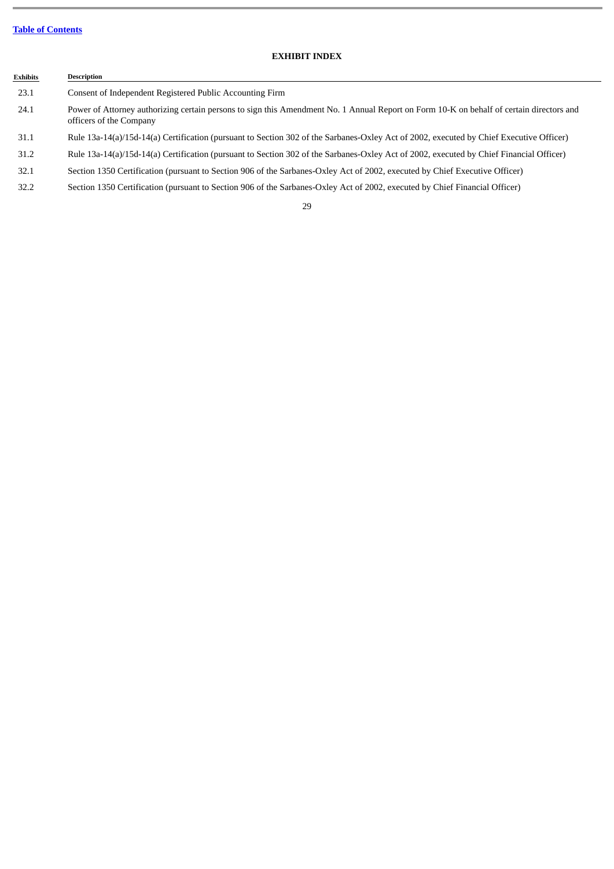# **EXHIBIT INDEX**

<span id="page-30-0"></span>

| <b>Exhibits</b> | Description                                                                                                                                                         |
|-----------------|---------------------------------------------------------------------------------------------------------------------------------------------------------------------|
| 23.1            | Consent of Independent Registered Public Accounting Firm                                                                                                            |
| 24.1            | Power of Attorney authorizing certain persons to sign this Amendment No. 1 Annual Report on Form 10-K on behalf of certain directors and<br>officers of the Company |
| 31.1            | Rule 13a-14(a)/15d-14(a) Certification (pursuant to Section 302 of the Sarbanes-Oxley Act of 2002, executed by Chief Executive Officer)                             |
| 31.2            | Rule 13a-14(a)/15d-14(a) Certification (pursuant to Section 302 of the Sarbanes-Oxley Act of 2002, executed by Chief Financial Officer)                             |
| 32.1            | Section 1350 Certification (pursuant to Section 906 of the Sarbanes-Oxley Act of 2002, executed by Chief Executive Officer)                                         |
|                 |                                                                                                                                                                     |

32.2 Section 1350 Certification (pursuant to Section 906 of the Sarbanes-Oxley Act of 2002, executed by Chief Financial Officer)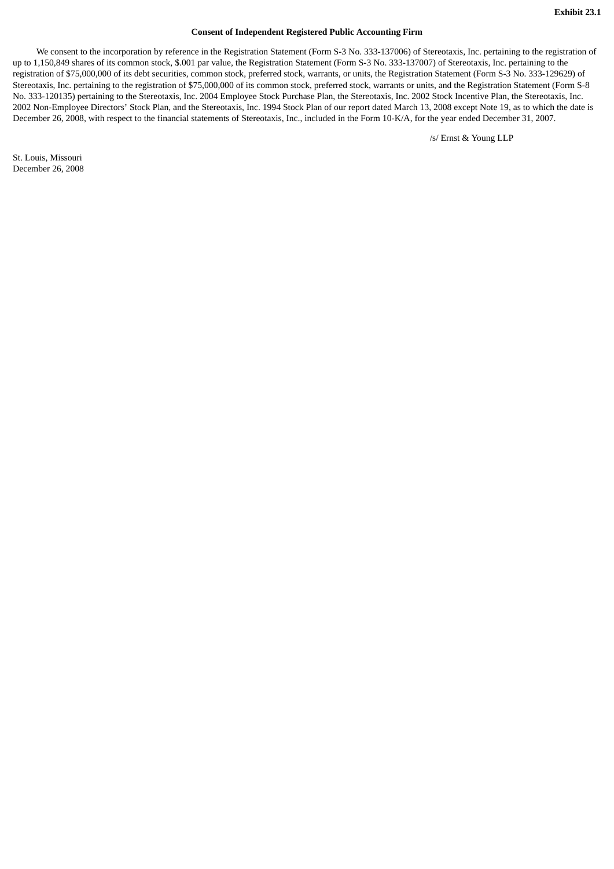#### **Consent of Independent Registered Public Accounting Firm**

We consent to the incorporation by reference in the Registration Statement (Form S-3 No. 333-137006) of Stereotaxis, Inc. pertaining to the registration of up to 1,150,849 shares of its common stock, \$.001 par value, the Registration Statement (Form S-3 No. 333-137007) of Stereotaxis, Inc. pertaining to the registration of \$75,000,000 of its debt securities, common stock, preferred stock, warrants, or units, the Registration Statement (Form S-3 No. 333-129629) of Stereotaxis, Inc. pertaining to the registration of \$75,000,000 of its common stock, preferred stock, warrants or units, and the Registration Statement (Form S-8 No. 333-120135) pertaining to the Stereotaxis, Inc. 2004 Employee Stock Purchase Plan, the Stereotaxis, Inc. 2002 Stock Incentive Plan, the Stereotaxis, Inc. 2002 Non-Employee Directors' Stock Plan, and the Stereotaxis, Inc. 1994 Stock Plan of our report dated March 13, 2008 except Note 19, as to which the date is December 26, 2008, with respect to the financial statements of Stereotaxis, Inc., included in the Form 10-K/A, for the year ended December 31, 2007.

/s/ Ernst & Young LLP

St. Louis, Missouri December 26, 2008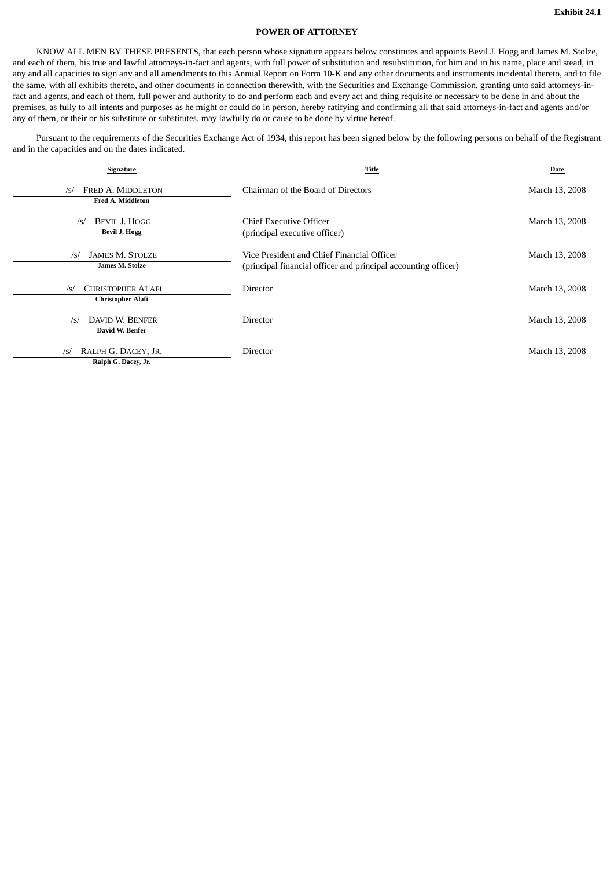#### **POWER OF ATTORNEY**

KNOW ALL MEN BY THESE PRESENTS, that each person whose signature appears below constitutes and appoints Bevil J. Hogg and James M. Stolze, and each of them, his true and lawful attorneys-in-fact and agents, with full power of substitution and resubstitution, for him and in his name, place and stead, in any and all capacities to sign any and all amendments to this Annual Report on Form 10-K and any other documents and instruments incidental thereto, and to file the same, with all exhibits thereto, and other documents in connection therewith, with the Securities and Exchange Commission, granting unto said attorneys-infact and agents, and each of them, full power and authority to do and perform each and every act and thing requisite or necessary to be done in and about the premises, as fully to all intents and purposes as he might or could do in person, hereby ratifying and confirming all that said attorneys-in-fact and agents and/or any of them, or their or his substitute or substitutes, may lawfully do or cause to be done by virtue hereof.

Pursuant to the requirements of the Securities Exchange Act of 1934, this report has been signed below by the following persons on behalf of the Registrant and in the capacities and on the dates indicated.

| Signature                                                          | Title                                                                                                        | Date           |
|--------------------------------------------------------------------|--------------------------------------------------------------------------------------------------------------|----------------|
| <b>FRED A. MIDDLETON</b><br>/s/<br><b>Fred A. Middleton</b>        | Chairman of the Board of Directors                                                                           | March 13, 2008 |
| <b>BEVIL J. HOGG</b><br>/s/<br><b>Bevil J. Hogg</b>                | <b>Chief Executive Officer</b><br>(principal executive officer)                                              | March 13, 2008 |
| <b>JAMES M. STOLZE</b><br>/s/<br><b>James M. Stolze</b>            | Vice President and Chief Financial Officer<br>(principal financial officer and principal accounting officer) | March 13, 2008 |
| <b>CHRISTOPHER ALAFI</b><br>$\sqrt{s}$<br><b>Christopher Alafi</b> | Director                                                                                                     | March 13, 2008 |
| DAVID W. BENFER<br>/s/<br>David W. Benfer                          | Director                                                                                                     | March 13, 2008 |
| RALPH G. DACEY, JR.<br>$\sqrt{s}$<br>.                             | Director                                                                                                     | March 13, 2008 |

**Ralph G. Dacey, Jr.**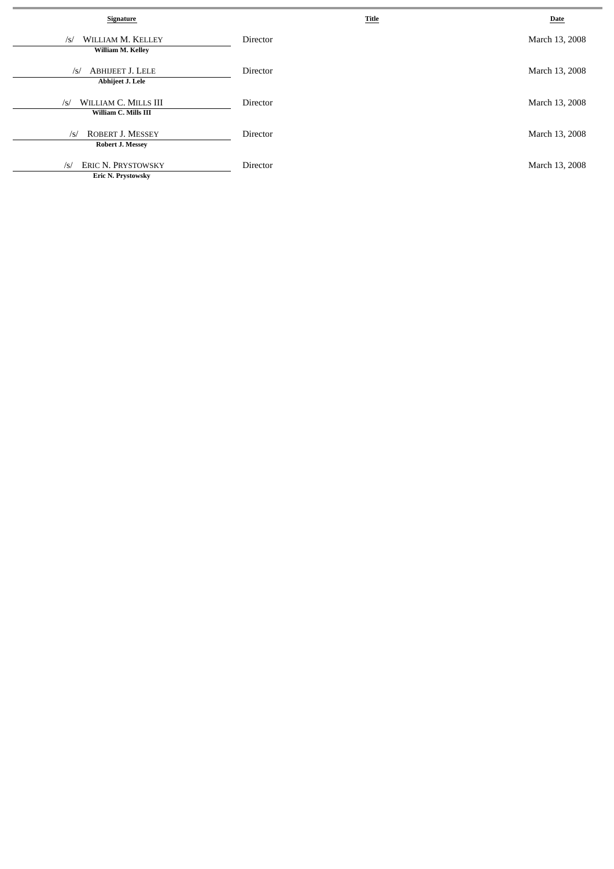| Signature                                                 |          | <b>Title</b> | <b>Date</b>    |
|-----------------------------------------------------------|----------|--------------|----------------|
| WILLIAM M. KELLEY<br>/s/<br>William M. Kelley             | Director |              | March 13, 2008 |
| <b>ABHIJEET J. LELE</b><br>$\sqrt{s}$<br>Abhijeet J. Lele | Director |              | March 13, 2008 |
| WILLIAM C. MILLS III<br>/s/<br>William C. Mills III       | Director |              | March 13, 2008 |
| ROBERT J. MESSEY<br>$\sqrt{s}$<br><b>Robert J. Messey</b> | Director |              | March 13, 2008 |
| ERIC N. PRYSTOWSKY<br>$\sqrt{s}$<br>Eric N. Prystowsky    | Director |              | March 13, 2008 |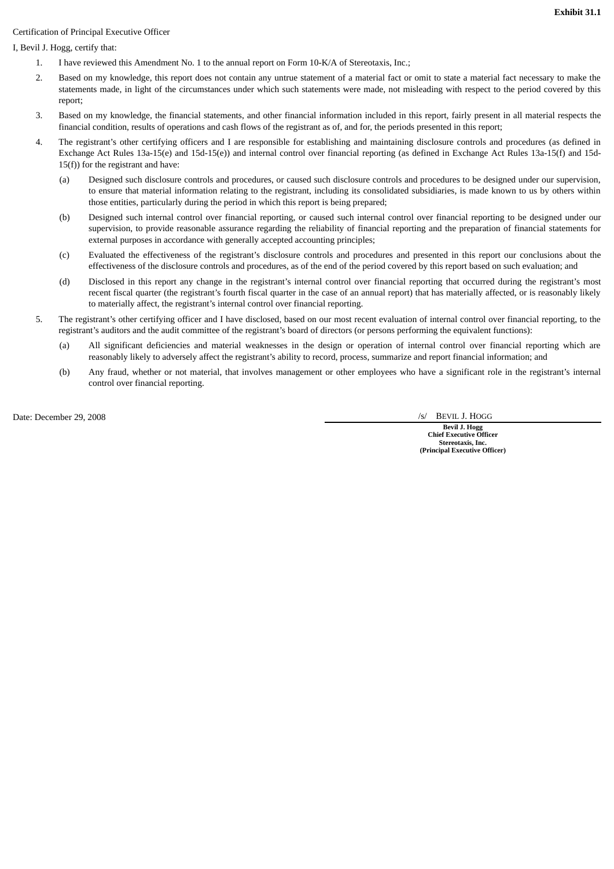### Certification of Principal Executive Officer

I, Bevil J. Hogg, certify that:

- 1. I have reviewed this Amendment No. 1 to the annual report on Form 10-K/A of Stereotaxis, Inc.;
- 2. Based on my knowledge, this report does not contain any untrue statement of a material fact or omit to state a material fact necessary to make the statements made, in light of the circumstances under which such statements were made, not misleading with respect to the period covered by this report;
- 3. Based on my knowledge, the financial statements, and other financial information included in this report, fairly present in all material respects the financial condition, results of operations and cash flows of the registrant as of, and for, the periods presented in this report;
- 4. The registrant's other certifying officers and I are responsible for establishing and maintaining disclosure controls and procedures (as defined in Exchange Act Rules 13a-15(e) and 15d-15(e)) and internal control over financial reporting (as defined in Exchange Act Rules 13a-15(f) and 15d-15(f)) for the registrant and have:
	- (a) Designed such disclosure controls and procedures, or caused such disclosure controls and procedures to be designed under our supervision, to ensure that material information relating to the registrant, including its consolidated subsidiaries, is made known to us by others within those entities, particularly during the period in which this report is being prepared;
	- (b) Designed such internal control over financial reporting, or caused such internal control over financial reporting to be designed under our supervision, to provide reasonable assurance regarding the reliability of financial reporting and the preparation of financial statements for external purposes in accordance with generally accepted accounting principles;
	- (c) Evaluated the effectiveness of the registrant's disclosure controls and procedures and presented in this report our conclusions about the effectiveness of the disclosure controls and procedures, as of the end of the period covered by this report based on such evaluation; and
	- (d) Disclosed in this report any change in the registrant's internal control over financial reporting that occurred during the registrant's most recent fiscal quarter (the registrant's fourth fiscal quarter in the case of an annual report) that has materially affected, or is reasonably likely to materially affect, the registrant's internal control over financial reporting.
- 5. The registrant's other certifying officer and I have disclosed, based on our most recent evaluation of internal control over financial reporting, to the registrant's auditors and the audit committee of the registrant's board of directors (or persons performing the equivalent functions):
	- (a) All significant deficiencies and material weaknesses in the design or operation of internal control over financial reporting which are reasonably likely to adversely affect the registrant's ability to record, process, summarize and report financial information; and
	- (b) Any fraud, whether or not material, that involves management or other employees who have a significant role in the registrant's internal control over financial reporting.

Date: December 29, 2008

/s/ BEVIL J. HOGG

 **Bevil J. Hogg Chief Executive Officer Stereotaxis, Inc. (Principal Executive Officer)**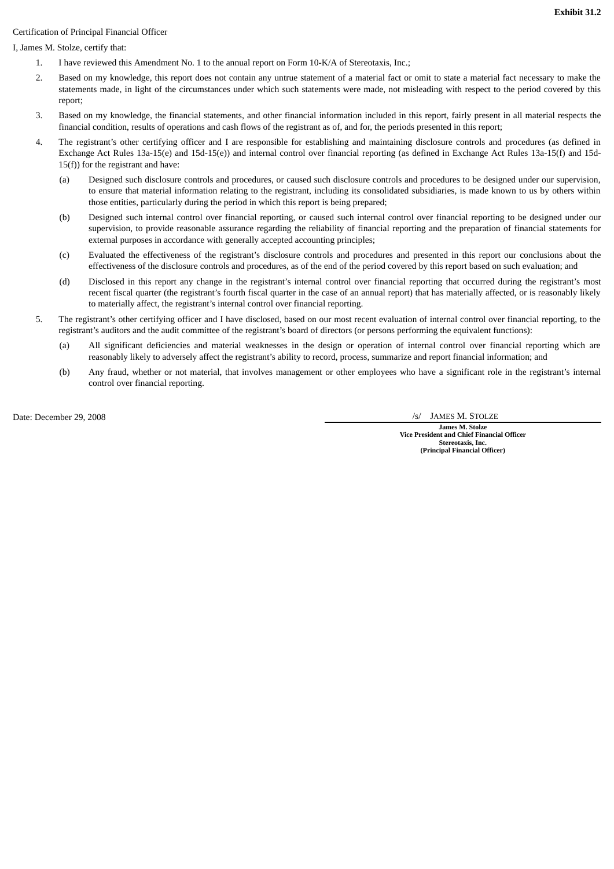### Certification of Principal Financial Officer

I, James M. Stolze, certify that:

- 1. I have reviewed this Amendment No. 1 to the annual report on Form 10-K/A of Stereotaxis, Inc.;
- 2. Based on my knowledge, this report does not contain any untrue statement of a material fact or omit to state a material fact necessary to make the statements made, in light of the circumstances under which such statements were made, not misleading with respect to the period covered by this report;
- 3. Based on my knowledge, the financial statements, and other financial information included in this report, fairly present in all material respects the financial condition, results of operations and cash flows of the registrant as of, and for, the periods presented in this report;
- 4. The registrant's other certifying officer and I are responsible for establishing and maintaining disclosure controls and procedures (as defined in Exchange Act Rules 13a-15(e) and 15d-15(e)) and internal control over financial reporting (as defined in Exchange Act Rules 13a-15(f) and 15d-15(f)) for the registrant and have:
	- (a) Designed such disclosure controls and procedures, or caused such disclosure controls and procedures to be designed under our supervision, to ensure that material information relating to the registrant, including its consolidated subsidiaries, is made known to us by others within those entities, particularly during the period in which this report is being prepared;
	- (b) Designed such internal control over financial reporting, or caused such internal control over financial reporting to be designed under our supervision, to provide reasonable assurance regarding the reliability of financial reporting and the preparation of financial statements for external purposes in accordance with generally accepted accounting principles;
	- (c) Evaluated the effectiveness of the registrant's disclosure controls and procedures and presented in this report our conclusions about the effectiveness of the disclosure controls and procedures, as of the end of the period covered by this report based on such evaluation; and
	- (d) Disclosed in this report any change in the registrant's internal control over financial reporting that occurred during the registrant's most recent fiscal quarter (the registrant's fourth fiscal quarter in the case of an annual report) that has materially affected, or is reasonably likely to materially affect, the registrant's internal control over financial reporting.
- 5. The registrant's other certifying officer and I have disclosed, based on our most recent evaluation of internal control over financial reporting, to the registrant's auditors and the audit committee of the registrant's board of directors (or persons performing the equivalent functions):
	- (a) All significant deficiencies and material weaknesses in the design or operation of internal control over financial reporting which are reasonably likely to adversely affect the registrant's ability to record, process, summarize and report financial information; and
	- (b) Any fraud, whether or not material, that involves management or other employees who have a significant role in the registrant's internal control over financial reporting.

Date: December 29, 2008

/s/ JAMES M. STOLZE

 **James M. Stolze Vice President and Chief Financial Officer Stereotaxis, Inc. (Principal Financial Officer)**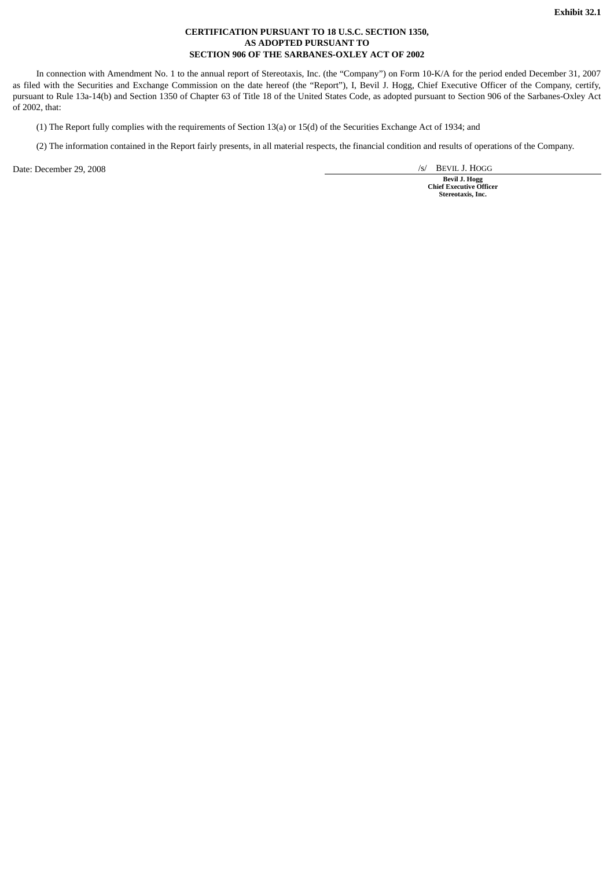### **CERTIFICATION PURSUANT TO 18 U.S.C. SECTION 1350, AS ADOPTED PURSUANT TO SECTION 906 OF THE SARBANES-OXLEY ACT OF 2002**

In connection with Amendment No. 1 to the annual report of Stereotaxis, Inc. (the "Company") on Form 10-K/A for the period ended December 31, 2007 as filed with the Securities and Exchange Commission on the date hereof (the "Report"), I, Bevil J. Hogg, Chief Executive Officer of the Company, certify, pursuant to Rule 13a-14(b) and Section 1350 of Chapter 63 of Title 18 of the United States Code, as adopted pursuant to Section 906 of the Sarbanes-Oxley Act of 2002, that:

(1) The Report fully complies with the requirements of Section 13(a) or 15(d) of the Securities Exchange Act of 1934; and

(2) The information contained in the Report fairly presents, in all material respects, the financial condition and results of operations of the Company.

Date: December 29, 2008

/s/ BEVIL J. HOGG

**Bevil J. Hogg Chief Executive Officer Stereotaxis, Inc.**